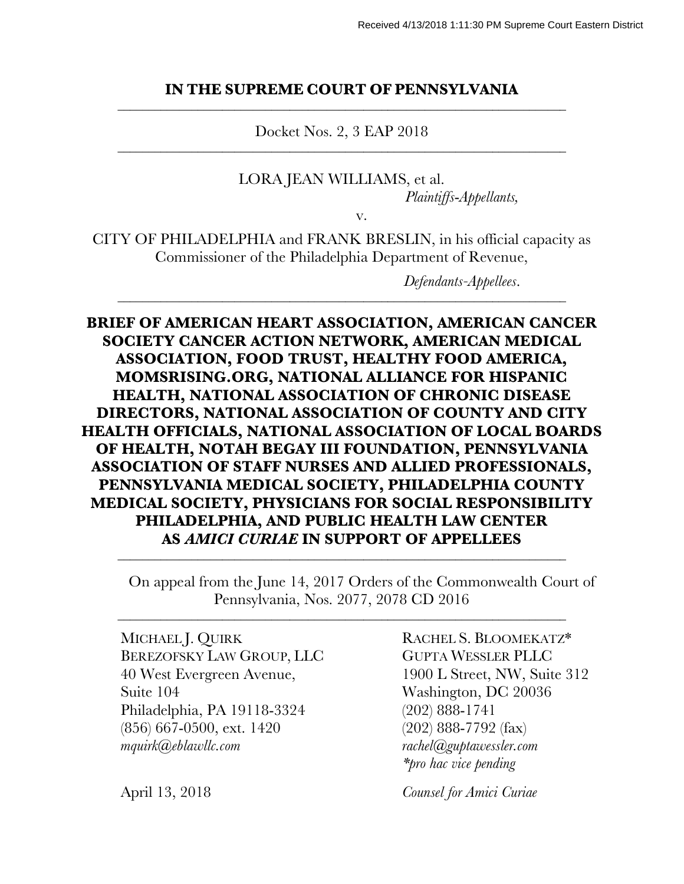#### **IN THE SUPREME COURT OF PENNSYLVANIA** \_\_\_\_\_\_\_\_\_\_\_\_\_\_\_\_\_\_\_\_\_\_\_\_\_\_\_\_\_\_\_\_\_\_\_\_\_\_\_\_\_\_\_\_\_\_\_\_\_\_\_\_\_\_\_\_\_\_\_\_\_\_\_\_\_\_\_\_\_\_\_\_\_

Docket Nos. 2, 3 EAP 2018 \_\_\_\_\_\_\_\_\_\_\_\_\_\_\_\_\_\_\_\_\_\_\_\_\_\_\_\_\_\_\_\_\_\_\_\_\_\_\_\_\_\_\_\_\_\_\_\_\_\_\_\_\_\_\_\_\_\_\_\_\_\_\_\_\_\_\_\_\_\_\_\_\_

> LORA JEAN WILLIAMS, et al. *Plaintiffs*-*Appellants,*

> > v.

CITY OF PHILADELPHIA and FRANK BRESLIN, in his official capacity as Commissioner of the Philadelphia Department of Revenue,

\_\_\_\_\_\_\_\_\_\_\_\_\_\_\_\_\_\_\_\_\_\_\_\_\_\_\_\_\_\_\_\_\_\_\_\_\_\_\_\_\_\_\_\_\_\_\_\_\_\_\_\_\_\_\_\_\_\_\_\_\_\_\_\_\_\_\_\_\_\_\_\_\_

*Defendants-Appellees*.

**BRIEF OF AMERICAN HEART ASSOCIATION, AMERICAN CANCER SOCIETY CANCER ACTION NETWORK, AMERICAN MEDICAL ASSOCIATION, FOOD TRUST, HEALTHY FOOD AMERICA, MOMSRISING.ORG, NATIONAL ALLIANCE FOR HISPANIC HEALTH, NATIONAL ASSOCIATION OF CHRONIC DISEASE DIRECTORS, NATIONAL ASSOCIATION OF COUNTY AND CITY HEALTH OFFICIALS, NATIONAL ASSOCIATION OF LOCAL BOARDS OF HEALTH, NOTAH BEGAY III FOUNDATION, PENNSYLVANIA ASSOCIATION OF STAFF NURSES AND ALLIED PROFESSIONALS, PENNSYLVANIA MEDICAL SOCIETY, PHILADELPHIA COUNTY MEDICAL SOCIETY, PHYSICIANS FOR SOCIAL RESPONSIBILITY PHILADELPHIA, AND PUBLIC HEALTH LAW CENTER AS** *AMICI CURIAE* **IN SUPPORT OF APPELLEES**

\_\_\_\_\_\_\_\_\_\_\_\_\_\_\_\_\_\_\_\_\_\_\_\_\_\_\_\_\_\_\_\_\_\_\_\_\_\_\_\_\_\_\_\_\_\_\_\_\_\_\_\_\_\_\_\_\_\_\_\_\_\_\_\_\_\_\_\_\_\_\_\_\_

\_\_\_\_\_\_\_\_\_\_\_\_\_\_\_\_\_\_\_\_\_\_\_\_\_\_\_\_\_\_\_\_\_\_\_\_\_\_\_\_\_\_\_\_\_\_\_\_\_\_\_\_\_\_\_\_\_\_\_\_\_\_\_\_\_\_\_\_\_\_\_\_\_

On appeal from the June 14, 2017 Orders of the Commonwealth Court of Pennsylvania, Nos. 2077, 2078 CD 2016

MICHAEL J. QUIRK BEREZOFSKY LAW GROUP, LLC 40 West Evergreen Avenue, Suite 104 Philadelphia, PA 19118-3324 (856) 667-0500, ext. 1420 *mquirk@eblawllc.com*

RACHEL S. BLOOMEKATZ\* GUPTA WESSLER PLLC 1900 L Street, NW, Suite 312 Washington, DC 20036 (202) 888-1741 (202) 888-7792 (fax) *rachel@guptawessler.com \*pro hac vice pending*

April 13, 2018 *Counsel for Amici Curiae*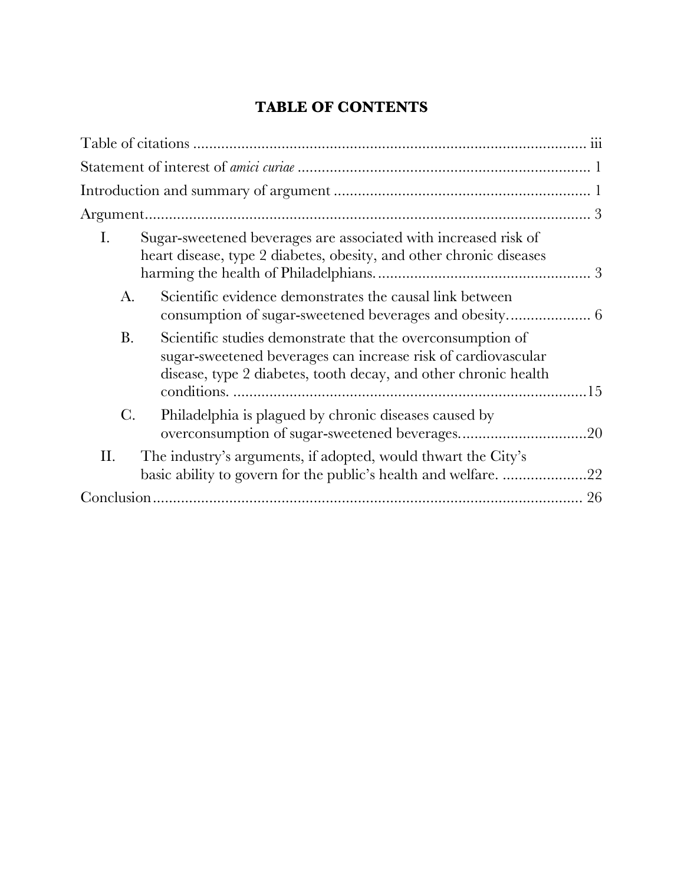# **TABLE OF CONTENTS**

| Ι.             | Sugar-sweetened beverages are associated with increased risk of<br>heart disease, type 2 diabetes, obesity, and other chronic diseases                                                         |
|----------------|------------------------------------------------------------------------------------------------------------------------------------------------------------------------------------------------|
| A.             | Scientific evidence demonstrates the causal link between                                                                                                                                       |
| <b>B.</b>      | Scientific studies demonstrate that the overconsumption of<br>sugar-sweetened beverages can increase risk of cardiovascular<br>disease, type 2 diabetes, tooth decay, and other chronic health |
| $\mathcal{C}.$ | Philadelphia is plagued by chronic diseases caused by                                                                                                                                          |
| Η.             | The industry's arguments, if adopted, would thwart the City's<br>basic ability to govern for the public's health and welfare22                                                                 |
|                |                                                                                                                                                                                                |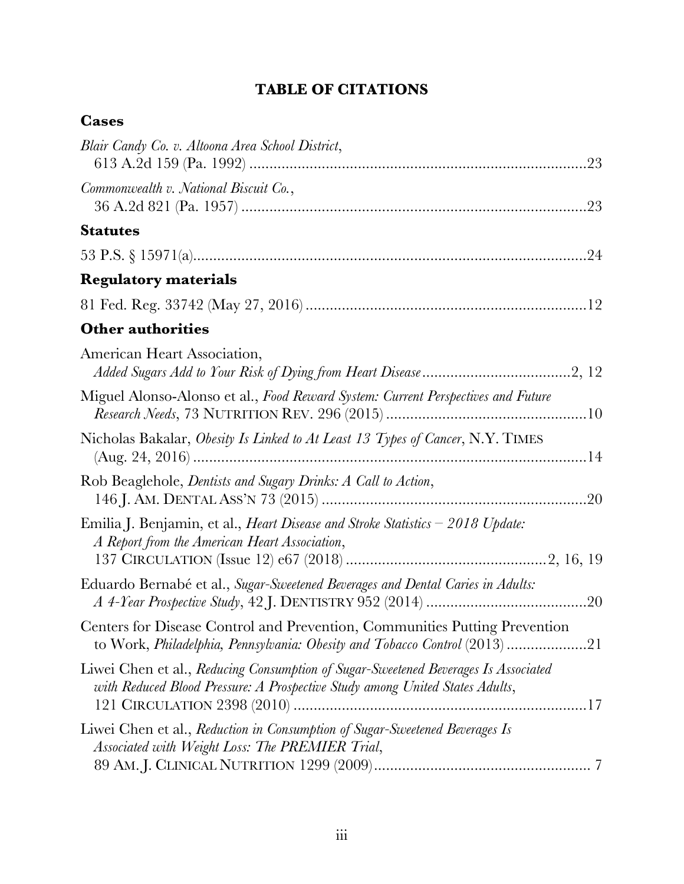# **TABLE OF CITATIONS**

## **Cases**

| Blair Candy Co. v. Altoona Area School District,                                                                                                                   |
|--------------------------------------------------------------------------------------------------------------------------------------------------------------------|
| Commonwealth v. National Biscuit Co.,                                                                                                                              |
| <b>Statutes</b>                                                                                                                                                    |
|                                                                                                                                                                    |
| <b>Regulatory materials</b>                                                                                                                                        |
|                                                                                                                                                                    |
| <b>Other authorities</b>                                                                                                                                           |
| American Heart Association,                                                                                                                                        |
| Miguel Alonso-Alonso et al., Food Reward System: Current Perspectives and Future                                                                                   |
| Nicholas Bakalar, Obesity Is Linked to At Least 13 Types of Cancer, N.Y. TIMES                                                                                     |
| Rob Beaglehole, Dentists and Sugary Drinks: A Call to Action,                                                                                                      |
| Emilia J. Benjamin, et al., <i>Heart Disease and Stroke Statistics</i> – 2018 Update:<br>A Report from the American Heart Association,                             |
| Eduardo Bernabé et al., Sugar-Sweetened Beverages and Dental Caries in Adults:                                                                                     |
| Centers for Disease Control and Prevention, Communities Putting Prevention<br>to Work, Philadelphia, Pennsylvania: Obesity and Tobacco Control (2013) 21           |
| Liwei Chen et al., Reducing Consumption of Sugar-Sweetened Beverages Is Associated<br>with Reduced Blood Pressure: A Prospective Study among United States Adults, |
| Liwei Chen et al., Reduction in Consumption of Sugar-Sweetened Beverages Is<br>Associated with Weight Loss: The PREMIER Trial,                                     |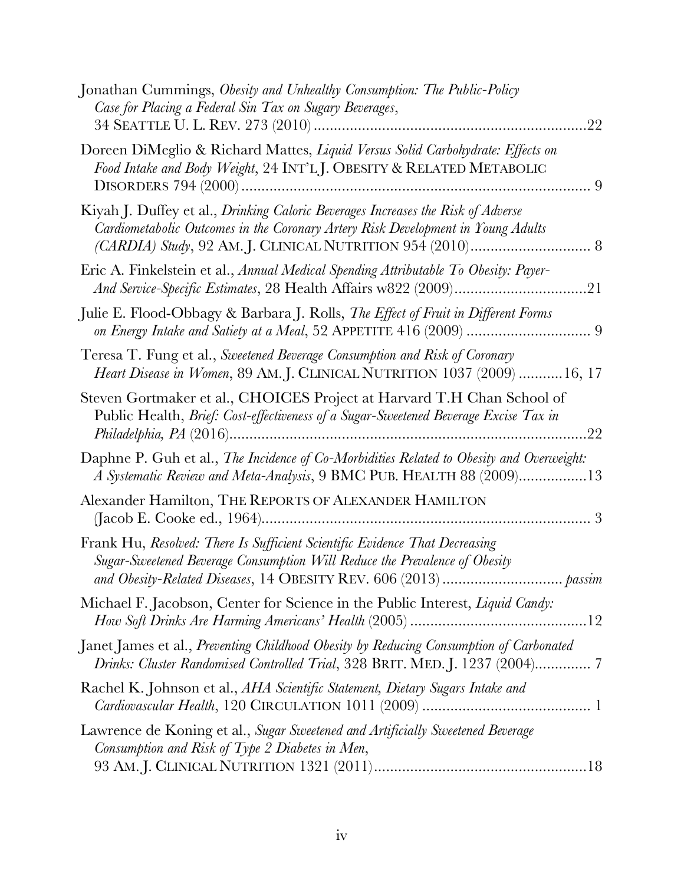| Jonathan Cummings, Obesity and Unhealthy Consumption: The Public-Policy<br>Case for Placing a Federal Sin Tax on Sugary Beverages,<br>22                             |
|----------------------------------------------------------------------------------------------------------------------------------------------------------------------|
| Doreen DiMeglio & Richard Mattes, Liquid Versus Solid Carbohydrate: Effects on<br>Food Intake and Body Weight, 24 INT'LJ. OBESITY & RELATED METABOLIC                |
| Kiyah J. Duffey et al., Drinking Caloric Beverages Increases the Risk of Adverse<br>Cardiometabolic Outcomes in the Coronary Artery Risk Development in Young Adults |
| Eric A. Finkelstein et al., Annual Medical Spending Attributable To Obesity: Payer-                                                                                  |
| Julie E. Flood-Obbagy & Barbara J. Rolls, The Effect of Fruit in Different Forms                                                                                     |
| Teresa T. Fung et al., Sweetened Beverage Consumption and Risk of Coronary<br><i>Heart Disease in Women</i> , 89 AM. J. CLINICAL NUTRITION 1037 (2009) 16, 17        |
| Steven Gortmaker et al., CHOICES Project at Harvard T.H Chan School of<br>Public Health, Brief: Cost-effectiveness of a Sugar-Sweetened Beverage Excise Tax in<br>22 |
| Daphne P. Guh et al., The Incidence of Co-Morbidities Related to Obesity and Overweight:<br>A Systematic Review and Meta-Analysis, 9 BMC PUB. HEALTH 88 (2009)13     |
| Alexander Hamilton, THE REPORTS OF ALEXANDER HAMILTON                                                                                                                |
| Frank Hu, Resolved: There Is Sufficient Scientific Evidence That Decreasing<br>Sugar-Sweetened Beverage Consumption Will Reduce the Prevalence of Obesity            |
| Michael F. Jacobson, Center for Science in the Public Interest, Liquid Candy:                                                                                        |
| Janet James et al., Preventing Childhood Obesity by Reducing Consumption of Carbonated                                                                               |
| Rachel K. Johnson et al., AHA Scientific Statement, Dietary Sugars Intake and                                                                                        |
| Lawrence de Koning et al., Sugar Sweetened and Artificially Sweetened Beverage<br>Consumption and Risk of Type 2 Diabetes in Men,                                    |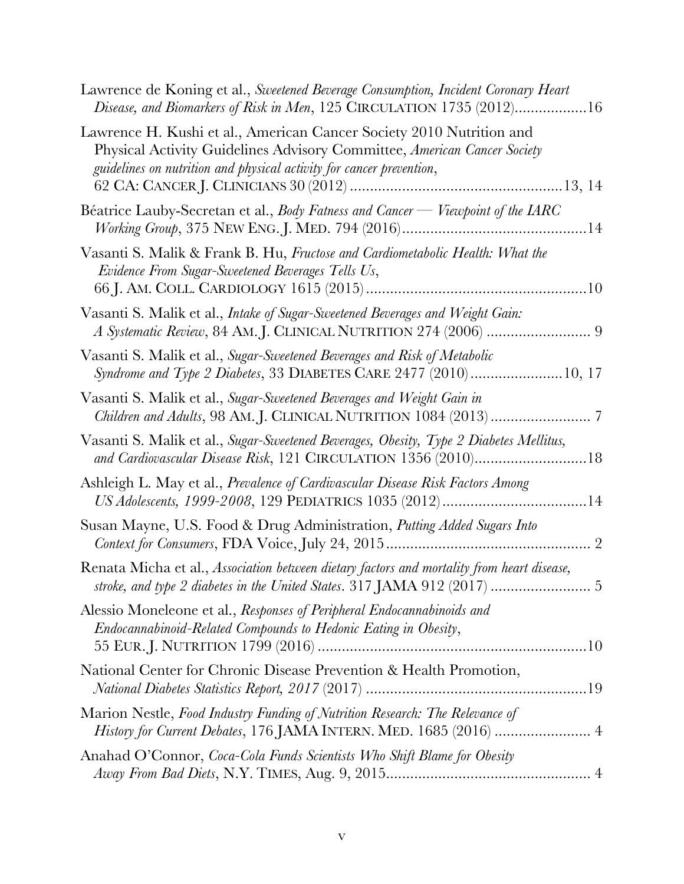| Lawrence de Koning et al., Sweetened Beverage Consumption, Incident Coronary Heart<br>Disease, and Biomarkers of Risk in Men, 125 CIRCULATION 1735 (2012)16                                                              |
|--------------------------------------------------------------------------------------------------------------------------------------------------------------------------------------------------------------------------|
| Lawrence H. Kushi et al., American Cancer Society 2010 Nutrition and<br>Physical Activity Guidelines Advisory Committee, American Cancer Society<br>guidelines on nutrition and physical activity for cancer prevention, |
| Béatrice Lauby-Secretan et al., Body Fatness and Cancer — Viewpoint of the IARC                                                                                                                                          |
| Vasanti S. Malik & Frank B. Hu, Fructose and Cardiometabolic Health: What the<br>Evidence From Sugar-Sweetened Beverages Tells Us,                                                                                       |
| Vasanti S. Malik et al., Intake of Sugar-Sweetened Beverages and Weight Gain:<br>A Systematic Review, 84 AM.J. CLINICAL NUTRITION 274 (2006)  9                                                                          |
| Vasanti S. Malik et al., Sugar-Sweetened Beverages and Risk of Metabolic<br>Syndrome and Type 2 Diabetes, 33 DIABETES CARE 2477 (2010) 10, 17                                                                            |
| Vasanti S. Malik et al., Sugar-Sweetened Beverages and Weight Gain in                                                                                                                                                    |
| Vasanti S. Malik et al., Sugar-Sweetened Beverages, Obesity, Type 2 Diabetes Mellitus,<br>and Cardiovascular Disease Risk, 121 CIRCULATION 1356 (2010)18                                                                 |
| Ashleigh L. May et al., Prevalence of Cardivascular Disease Risk Factors Among                                                                                                                                           |
| Susan Mayne, U.S. Food & Drug Administration, Putting Added Sugars Into                                                                                                                                                  |
| Renata Micha et al., Association between dietary factors and mortality from heart disease,                                                                                                                               |
| Alessio Moneleone et al., Responses of Peripheral Endocannabinoids and<br>Endocannabinoid-Related Compounds to Hedonic Eating in Obesity,                                                                                |
| National Center for Chronic Disease Prevention & Health Promotion,                                                                                                                                                       |
| Marion Nestle, Food Industry Funding of Nutrition Research: The Relevance of<br>History for Current Debates, 176 JAMA INTERN. MED. 1685 (2016)  4                                                                        |
| Anahad O'Connor, Coca-Cola Funds Scientists Who Shift Blame for Obesity                                                                                                                                                  |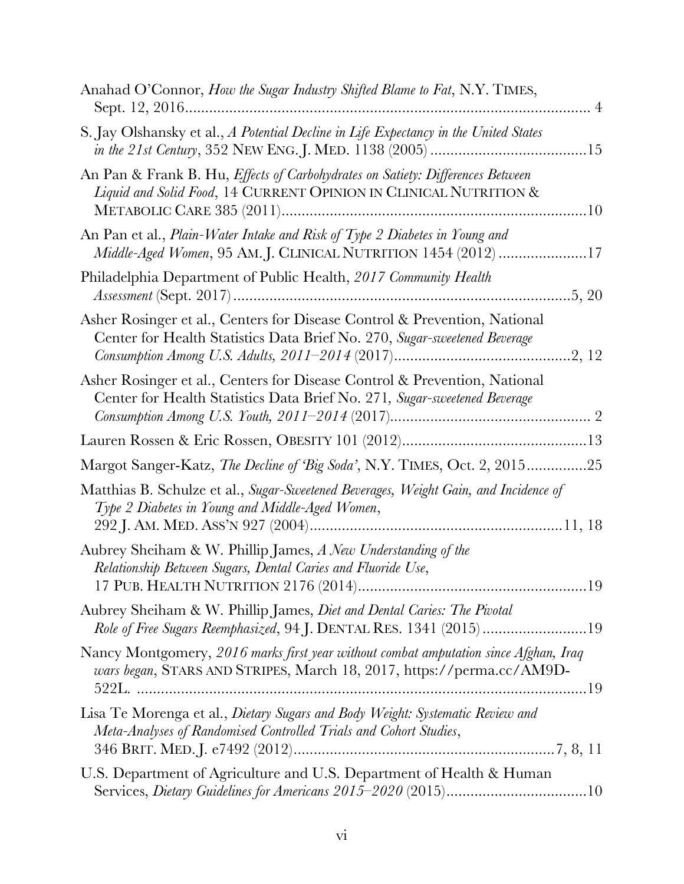| Anahad O'Connor, How the Sugar Industry Shifted Blame to Fat, N.Y. TIMES,                                                                                     |
|---------------------------------------------------------------------------------------------------------------------------------------------------------------|
| S. Jay Olshansky et al., A Potential Decline in Life Expectancy in the United States                                                                          |
| An Pan & Frank B. Hu, <i>Effects of Carbohydrates on Satiety: Differences Between</i><br>Liquid and Solid Food, 14 CURRENT OPINION IN CLINICAL NUTRITION &    |
| An Pan et al., <i>Plain-Water Intake and Risk of Type 2 Diabetes in Young and</i><br>Middle-Aged Women, 95 AM.J. CLINICAL NUTRITION 1454 (2012) 17            |
| Philadelphia Department of Public Health, 2017 Community Health<br>.5, 20                                                                                     |
| Asher Rosinger et al., Centers for Disease Control & Prevention, National<br>Center for Health Statistics Data Brief No. 270, Sugar-sweetened Beverage        |
| Asher Rosinger et al., Centers for Disease Control & Prevention, National<br>Center for Health Statistics Data Brief No. 271, Sugar-sweetened Beverage        |
|                                                                                                                                                               |
| Margot Sanger-Katz, The Decline of 'Big Soda', N.Y. TIMES, Oct. 2, 201525                                                                                     |
| Matthias B. Schulze et al., Sugar-Sweetened Beverages, Weight Gain, and Incidence of<br>Type 2 Diabetes in Young and Middle-Aged Women,                       |
| Aubrey Sheiham & W. Phillip James, A New Understanding of the<br>Relationship Between Sugars, Dental Caries and Fluoride Use,                                 |
| Aubrey Sheiham & W. Phillip James, <i>Diet and Dental Caries: The Pivotal</i><br>Role of Free Sugars Reemphasized, 94 J. DENTAL RES. 1341 (2015) 19           |
| Nancy Montgomery, 2016 marks first year without combat amputation since Afghan, Iraq<br>wars began, STARS AND STRIPES, March 18, 2017, https://perma.cc/AM9D- |
| Lisa Te Morenga et al., Dietary Sugars and Body Weight: Systematic Review and<br>Meta-Analyses of Randomised Controlled Trials and Cohort Studies,            |
| U.S. Department of Agriculture and U.S. Department of Health & Human                                                                                          |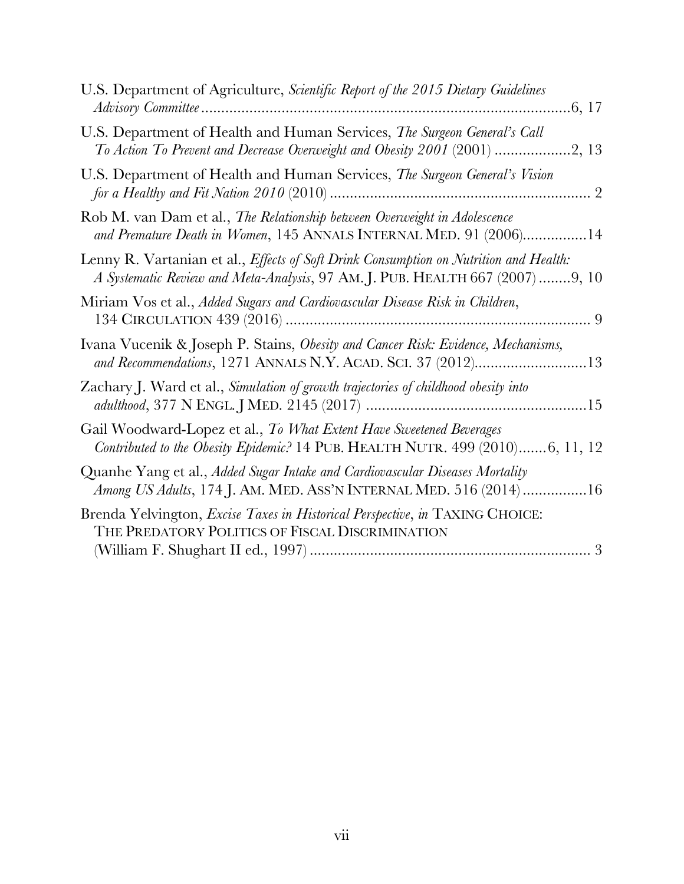| U.S. Department of Agriculture, Scientific Report of the 2015 Dietary Guidelines                                                                                       |
|------------------------------------------------------------------------------------------------------------------------------------------------------------------------|
| U.S. Department of Health and Human Services, The Surgeon General's Call                                                                                               |
| U.S. Department of Health and Human Services, The Surgeon General's Vision                                                                                             |
| Rob M. van Dam et al., The Relationship between Overweight in Adolescence<br>and Premature Death in Women, 145 ANNALS INTERNAL MED. 91 (2006)14                        |
| Lenny R. Vartanian et al., Effects of Soft Drink Consumption on Nutrition and Health:<br>A Systematic Review and Meta-Analysis, 97 AM. J. PUB. HEALTH 667 (2007) 9, 10 |
| Miriam Vos et al., Added Sugars and Cardiovascular Disease Risk in Children,                                                                                           |
| Ivana Vucenik & Joseph P. Stains, Obesity and Cancer Risk: Evidence, Mechanisms,<br>and Recommendations, 1271 ANNALS N.Y. ACAD. SCI. 37 (2012)13                       |
| Zachary J. Ward et al., Simulation of growth trajectories of childhood obesity into                                                                                    |
| Gail Woodward-Lopez et al., To What Extent Have Sweetened Beverages<br>Contributed to the Obesity Epidemic? 14 PUB. HEALTH NUTR. 499 (2010)6, 11, 12                   |
| Quanhe Yang et al., Added Sugar Intake and Cardiovascular Diseases Mortality<br>Among US Adults, 174 J. AM. MED. ASS'N INTERNAL MED. 516 (2014) 16                     |
| Brenda Yelvington, Excise Taxes in Historical Perspective, in TAXING CHOICE:<br>THE PREDATORY POLITICS OF FISCAL DISCRIMINATION                                        |
|                                                                                                                                                                        |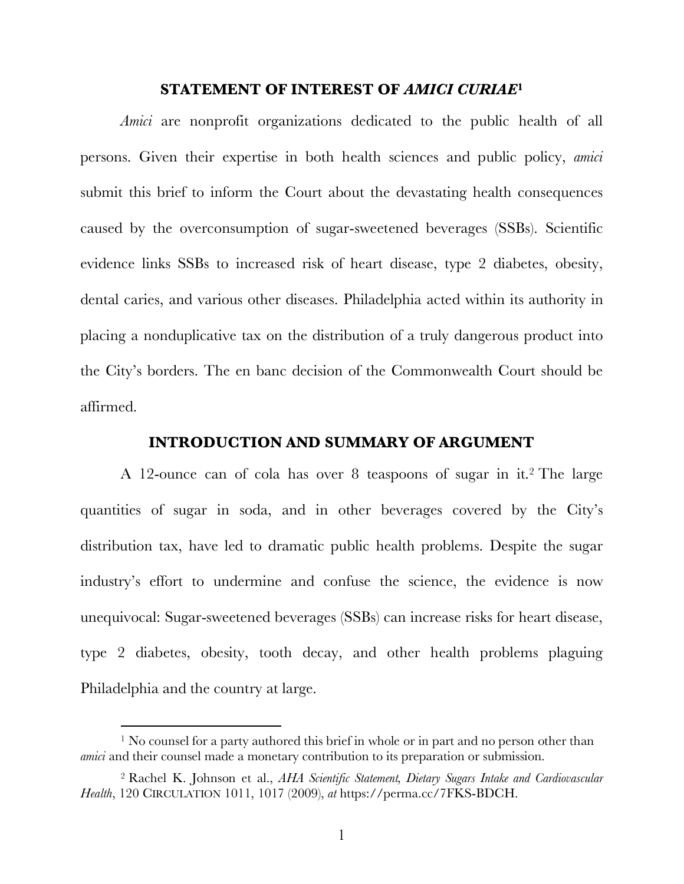#### **STATEMENT OF INTEREST OF** *AMICI CURIAE***<sup>1</sup>**

*Amici* are nonprofit organizations dedicated to the public health of all persons. Given their expertise in both health sciences and public policy, *amici* submit this brief to inform the Court about the devastating health consequences caused by the overconsumption of sugar-sweetened beverages (SSBs). Scientific evidence links SSBs to increased risk of heart disease, type 2 diabetes, obesity, dental caries, and various other diseases. Philadelphia acted within its authority in placing a nonduplicative tax on the distribution of a truly dangerous product into the City's borders. The en banc decision of the Commonwealth Court should be affirmed.

#### **INTRODUCTION AND SUMMARY OF ARGUMENT**

A 12-ounce can of cola has over 8 teaspoons of sugar in it. <sup>2</sup> The large quantities of sugar in soda, and in other beverages covered by the City's distribution tax, have led to dramatic public health problems. Despite the sugar industry's effort to undermine and confuse the science, the evidence is now unequivocal: Sugar-sweetened beverages (SSBs) can increase risks for heart disease, type 2 diabetes, obesity, tooth decay, and other health problems plaguing Philadelphia and the country at large.

<sup>&</sup>lt;sup>1</sup> No counsel for a party authored this brief in whole or in part and no person other than *amici* and their counsel made a monetary contribution to its preparation or submission.

<sup>2</sup> Rachel K. Johnson et al., *AHA Scientific Statement, Dietary Sugars Intake and Cardiovascular Health*, 120 CIRCULATION 1011, 1017 (2009), *at* https://perma.cc/7FKS-BDCH.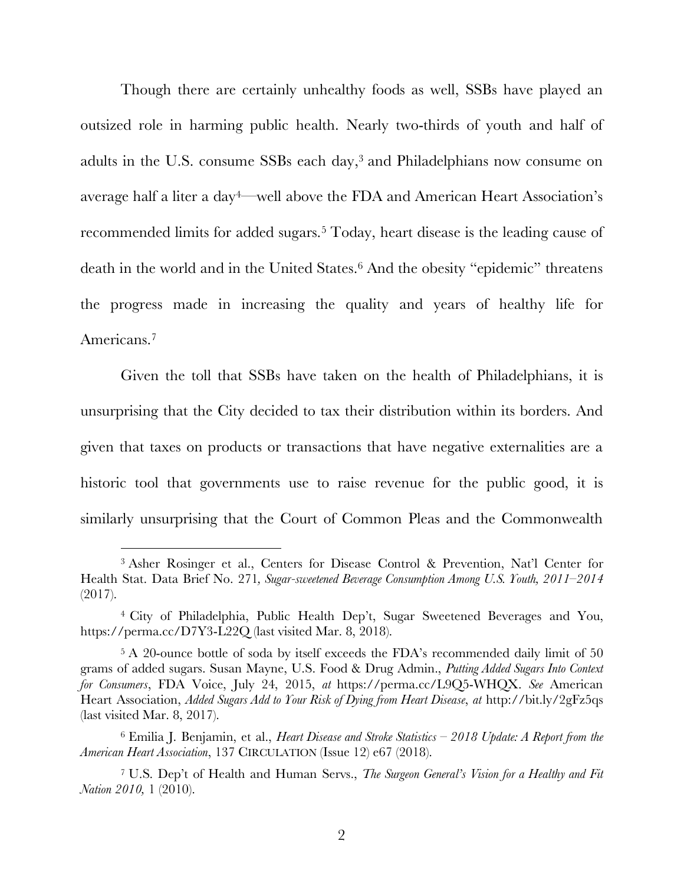Though there are certainly unhealthy foods as well, SSBs have played an outsized role in harming public health. Nearly two-thirds of youth and half of adults in the U.S. consume SSBs each day,3 and Philadelphians now consume on average half a liter a day4—well above the FDA and American Heart Association's recommended limits for added sugars.<sup>5</sup> Today, heart disease is the leading cause of death in the world and in the United States.6 And the obesity "epidemic" threatens the progress made in increasing the quality and years of healthy life for Americans.<sup>7</sup>

Given the toll that SSBs have taken on the health of Philadelphians, it is unsurprising that the City decided to tax their distribution within its borders. And given that taxes on products or transactions that have negative externalities are a historic tool that governments use to raise revenue for the public good, it is similarly unsurprising that the Court of Common Pleas and the Commonwealth

<sup>3</sup> Asher Rosinger et al., Centers for Disease Control & Prevention, Nat'l Center for Health Stat. Data Brief No. 271*, Sugar-sweetened Beverage Consumption Among U.S. Youth, 2011–2014* (2017).

<sup>4</sup> City of Philadelphia, Public Health Dep't, Sugar Sweetened Beverages and You, https://perma.cc/D7Y3-L22Q (last visited Mar. 8, 2018).

<sup>&</sup>lt;sup>5</sup> A 20-ounce bottle of soda by itself exceeds the FDA's recommended daily limit of 50 grams of added sugars. Susan Mayne, U.S. Food & Drug Admin., *Putting Added Sugars Into Context for Consumers*, FDA Voice, July 24, 2015, *at* https://perma.cc/L9Q5-WHQX. *See* American Heart Association, *Added Sugars Add to Your Risk of Dying from Heart Disease*, *at* http://bit.ly/2gFz5qs (last visited Mar. 8, 2017).

<sup>6</sup> Emilia J. Benjamin, et al., *Heart Disease and Stroke Statistics – 2018 Update: A Report from the American Heart Association*, 137 CIRCULATION (Issue 12) e67 (2018).

<sup>7</sup> U.S. Dep't of Health and Human Servs., *The Surgeon General's Vision for a Healthy and Fit Nation 2010,* 1 (2010).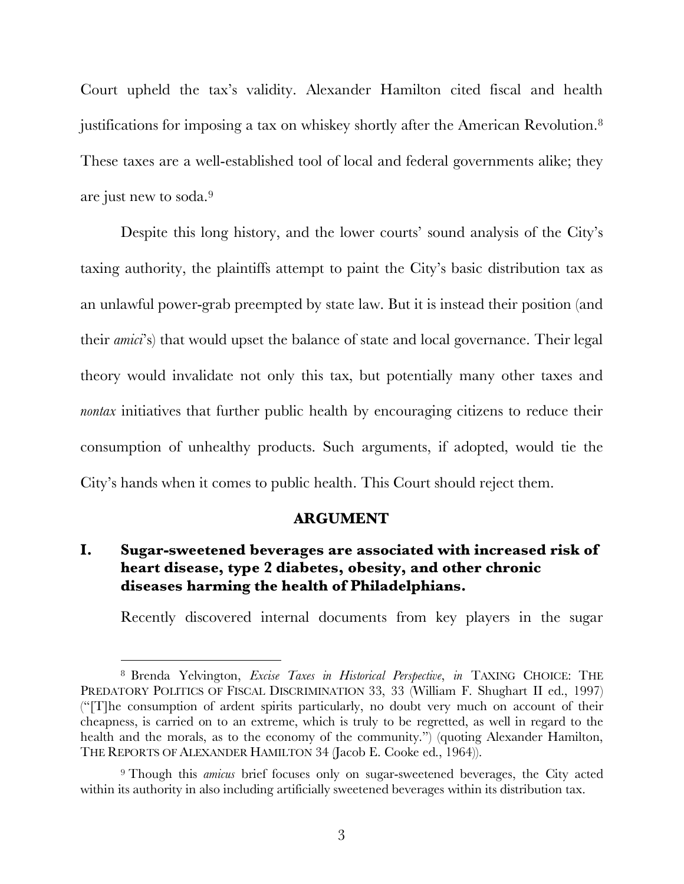Court upheld the tax's validity. Alexander Hamilton cited fiscal and health justifications for imposing a tax on whiskey shortly after the American Revolution.8 These taxes are a well-established tool of local and federal governments alike; they are just new to soda.9

Despite this long history, and the lower courts' sound analysis of the City's taxing authority, the plaintiffs attempt to paint the City's basic distribution tax as an unlawful power-grab preempted by state law. But it is instead their position (and their *amici*'s) that would upset the balance of state and local governance. Their legal theory would invalidate not only this tax, but potentially many other taxes and *nontax* initiatives that further public health by encouraging citizens to reduce their consumption of unhealthy products. Such arguments, if adopted, would tie the City's hands when it comes to public health. This Court should reject them.

#### **ARGUMENT**

### **I. Sugar-sweetened beverages are associated with increased risk of heart disease, type 2 diabetes, obesity, and other chronic diseases harming the health of Philadelphians.**

Recently discovered internal documents from key players in the sugar

<sup>8</sup> Brenda Yelvington, *Excise Taxes in Historical Perspective*, *in* TAXING CHOICE: THE PREDATORY POLITICS OF FISCAL DISCRIMINATION 33, 33 (William F. Shughart II ed., 1997) ("[T]he consumption of ardent spirits particularly, no doubt very much on account of their cheapness, is carried on to an extreme, which is truly to be regretted, as well in regard to the health and the morals, as to the economy of the community.") (quoting Alexander Hamilton, THE REPORTS OF ALEXANDER HAMILTON 34 (Jacob E. Cooke ed., 1964)).

<sup>9</sup> Though this *amicus* brief focuses only on sugar-sweetened beverages, the City acted within its authority in also including artificially sweetened beverages within its distribution tax.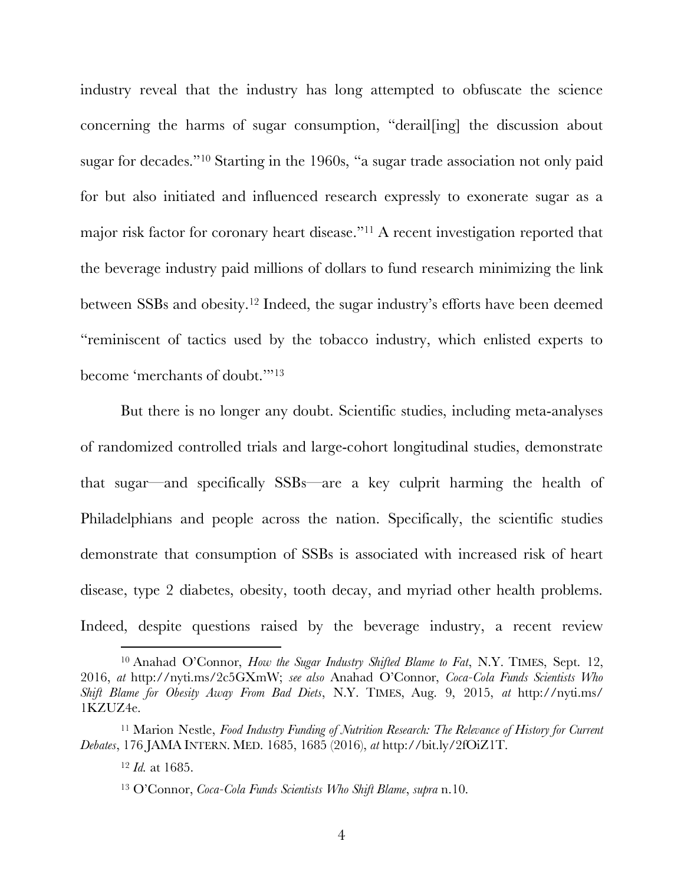industry reveal that the industry has long attempted to obfuscate the science concerning the harms of sugar consumption, "derail[ing] the discussion about sugar for decades."10 Starting in the 1960s, "a sugar trade association not only paid for but also initiated and influenced research expressly to exonerate sugar as a major risk factor for coronary heart disease."11 A recent investigation reported that the beverage industry paid millions of dollars to fund research minimizing the link between SSBs and obesity.12 Indeed, the sugar industry's efforts have been deemed "reminiscent of tactics used by the tobacco industry, which enlisted experts to become 'merchants of doubt.'"13

But there is no longer any doubt. Scientific studies, including meta-analyses of randomized controlled trials and large-cohort longitudinal studies, demonstrate that sugar—and specifically SSBs—are a key culprit harming the health of Philadelphians and people across the nation. Specifically, the scientific studies demonstrate that consumption of SSBs is associated with increased risk of heart disease, type 2 diabetes, obesity, tooth decay, and myriad other health problems. Indeed, despite questions raised by the beverage industry, a recent review

<sup>10</sup> Anahad O'Connor, *How the Sugar Industry Shifted Blame to Fat*, N.Y. TIMES, Sept. 12, 2016, *at* http://nyti.ms/2c5GXmW; *see also* Anahad O'Connor, *Coca-Cola Funds Scientists Who Shift Blame for Obesity Away From Bad Diets*, N.Y. TIMES, Aug. 9, 2015, *at* http://nyti.ms/ 1KZUZ4e.

<sup>11</sup> Marion Nestle, *Food Industry Funding of Nutrition Research: The Relevance of History for Current Debates*, 176 JAMA INTERN. MED. 1685, 1685 (2016), *at* http://bit.ly/2fOiZ1T.

<sup>12</sup> *Id.* at 1685.

<sup>13</sup> O'Connor, *Coca-Cola Funds Scientists Who Shift Blame*, *supra* n.10.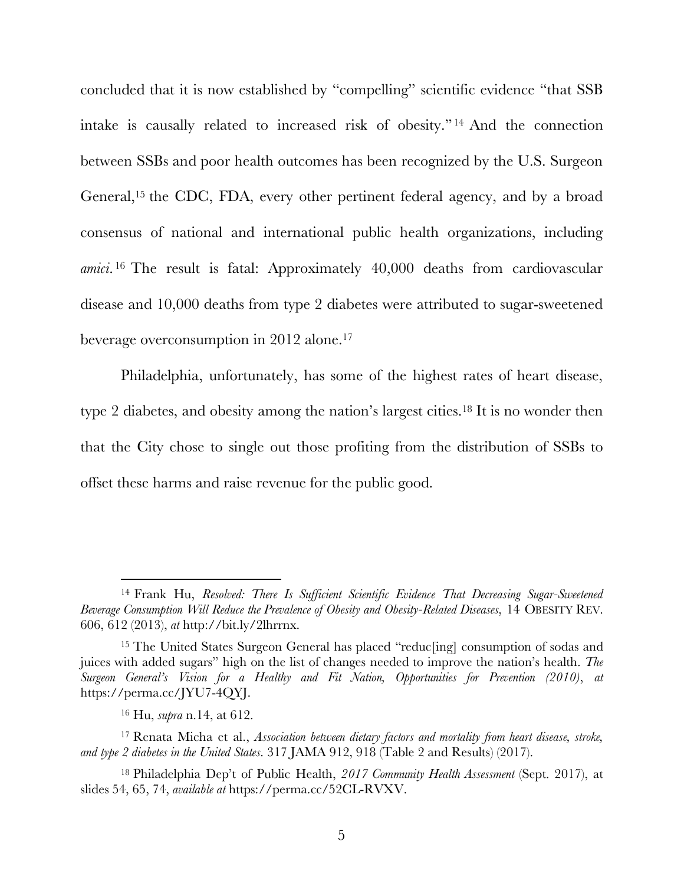concluded that it is now established by "compelling" scientific evidence "that SSB intake is causally related to increased risk of obesity." <sup>14</sup> And the connection between SSBs and poor health outcomes has been recognized by the U.S. Surgeon General,15 the CDC, FDA, every other pertinent federal agency, and by a broad consensus of national and international public health organizations, including *amici*. <sup>16</sup> The result is fatal: Approximately 40,000 deaths from cardiovascular disease and 10,000 deaths from type 2 diabetes were attributed to sugar-sweetened beverage overconsumption in 2012 alone.17

Philadelphia, unfortunately, has some of the highest rates of heart disease, type 2 diabetes, and obesity among the nation's largest cities.<sup>18</sup> It is no wonder then that the City chose to single out those profiting from the distribution of SSBs to offset these harms and raise revenue for the public good.

<sup>14</sup> Frank Hu, *Resolved: There Is Sufficient Scientific Evidence That Decreasing Sugar-Sweetened Beverage Consumption Will Reduce the Prevalence of Obesity and Obesity-Related Diseases*, 14 OBESITY REV. 606, 612 (2013), *at* http://bit.ly/2lhrrnx.

<sup>15</sup> The United States Surgeon General has placed "reduc[ing] consumption of sodas and juices with added sugars" high on the list of changes needed to improve the nation's health. *The Surgeon General's Vision for a Healthy and Fit Nation, Opportunities for Prevention (2010)*, *at* https://perma.cc/JYU7-4QYJ.

<sup>16</sup> Hu, *supra* n.14, at 612.

<sup>17</sup> Renata Micha et al., *Association between dietary factors and mortality from heart disease, stroke, and type 2 diabetes in the United States*. 317 JAMA 912, 918 (Table 2 and Results) (2017).

<sup>18</sup> Philadelphia Dep't of Public Health, *2017 Community Health Assessment* (Sept. 2017), at slides 54, 65, 74, *available at* https://perma.cc/52CL-RVXV.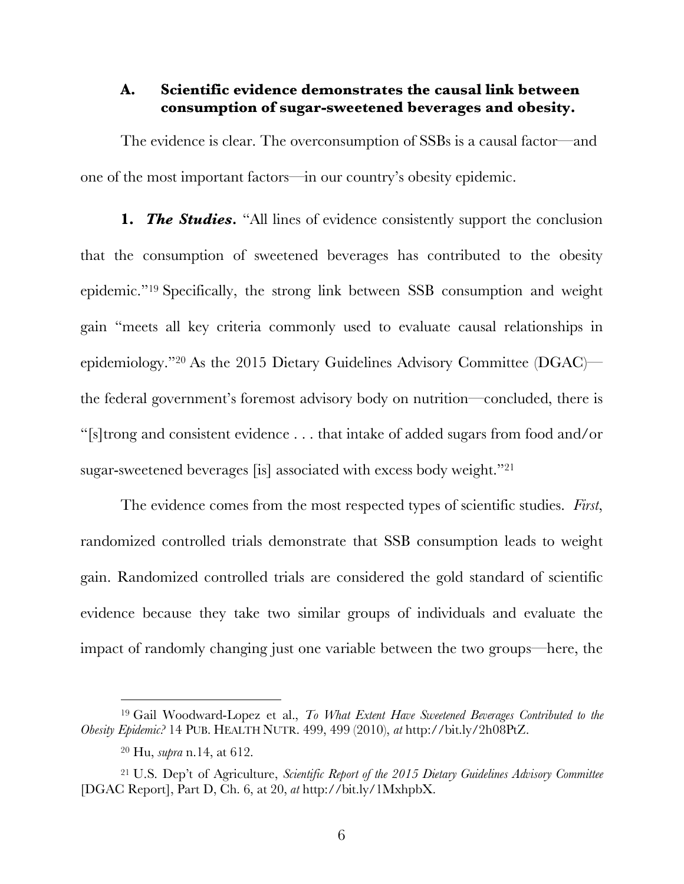#### **A. Scientific evidence demonstrates the causal link between consumption of sugar-sweetened beverages and obesity.**

The evidence is clear. The overconsumption of SSBs is a causal factor—and one of the most important factors—in our country's obesity epidemic.

**1.** *The Studies.* "All lines of evidence consistently support the conclusion that the consumption of sweetened beverages has contributed to the obesity epidemic."19 Specifically, the strong link between SSB consumption and weight gain "meets all key criteria commonly used to evaluate causal relationships in epidemiology."20 As the 2015 Dietary Guidelines Advisory Committee (DGAC) the federal government's foremost advisory body on nutrition—concluded, there is "[s]trong and consistent evidence . . . that intake of added sugars from food and/or sugar-sweetened beverages [is] associated with excess body weight."21

The evidence comes from the most respected types of scientific studies. *First*, randomized controlled trials demonstrate that SSB consumption leads to weight gain. Randomized controlled trials are considered the gold standard of scientific evidence because they take two similar groups of individuals and evaluate the impact of randomly changing just one variable between the two groups—here, the

<sup>19</sup> Gail Woodward-Lopez et al., *To What Extent Have Sweetened Beverages Contributed to the Obesity Epidemic?* 14 PUB. HEALTH NUTR. 499, 499 (2010), *at* http://bit.ly/2h08PtZ.

<sup>20</sup> Hu, *supra* n.14, at 612.

<sup>21</sup> U.S. Dep't of Agriculture, *Scientific Report of the 2015 Dietary Guidelines Advisory Committee* [DGAC Report], Part D, Ch. 6, at 20, *at* http://bit.ly/1MxhpbX.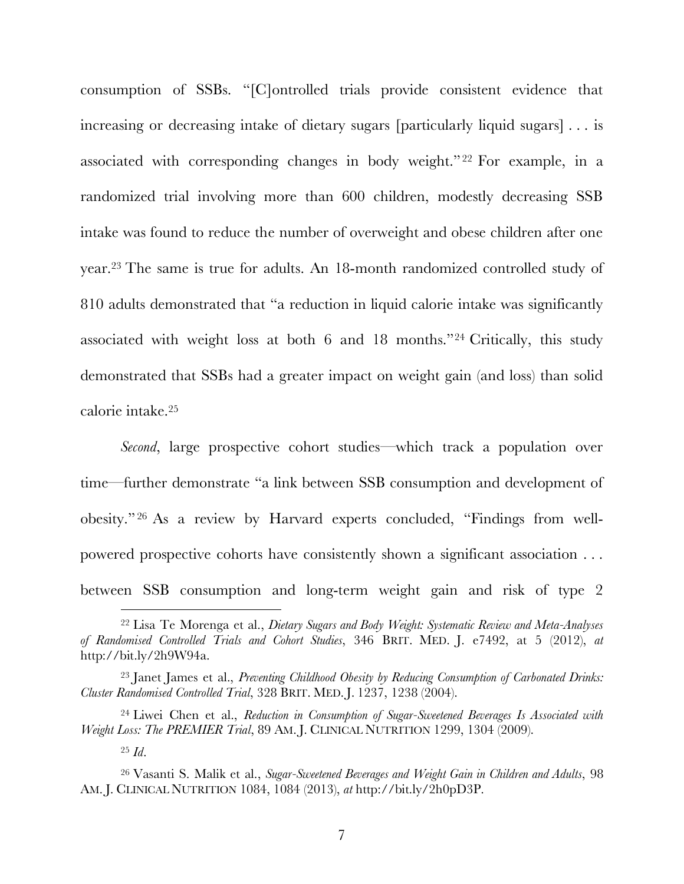consumption of SSBs. "[C]ontrolled trials provide consistent evidence that increasing or decreasing intake of dietary sugars [particularly liquid sugars] . . . is associated with corresponding changes in body weight." <sup>22</sup> For example, in a randomized trial involving more than 600 children, modestly decreasing SSB intake was found to reduce the number of overweight and obese children after one year.23 The same is true for adults. An 18-month randomized controlled study of 810 adults demonstrated that "a reduction in liquid calorie intake was significantly associated with weight loss at both 6 and 18 months."24 Critically, this study demonstrated that SSBs had a greater impact on weight gain (and loss) than solid calorie intake.25

*Second*, large prospective cohort studies—which track a population over time—further demonstrate "a link between SSB consumption and development of obesity." <sup>26</sup> As a review by Harvard experts concluded, "Findings from wellpowered prospective cohorts have consistently shown a significant association . . . between SSB consumption and long-term weight gain and risk of type 2

<sup>22</sup> Lisa Te Morenga et al., *Dietary Sugars and Body Weight: Systematic Review and Meta-Analyses of Randomised Controlled Trials and Cohort Studies*, 346 BRIT. MED. J. e7492, at 5 (2012), *at*  http://bit.ly/2h9W94a.

<sup>23</sup> Janet James et al., *Preventing Childhood Obesity by Reducing Consumption of Carbonated Drinks: Cluster Randomised Controlled Trial*, 328 BRIT. MED. J. 1237, 1238 (2004).

<sup>24</sup> Liwei Chen et al., *Reduction in Consumption of Sugar-Sweetened Beverages Is Associated with Weight Loss: The PREMIER Trial*, 89 AM. J. CLINICAL NUTRITION 1299, 1304 (2009).

<sup>25</sup> *Id*.

<sup>26</sup> Vasanti S. Malik et al., *Sugar-Sweetened Beverages and Weight Gain in Children and Adults*, 98 AM. J. CLINICAL NUTRITION 1084, 1084 (2013), *at* http://bit.ly/2h0pD3P.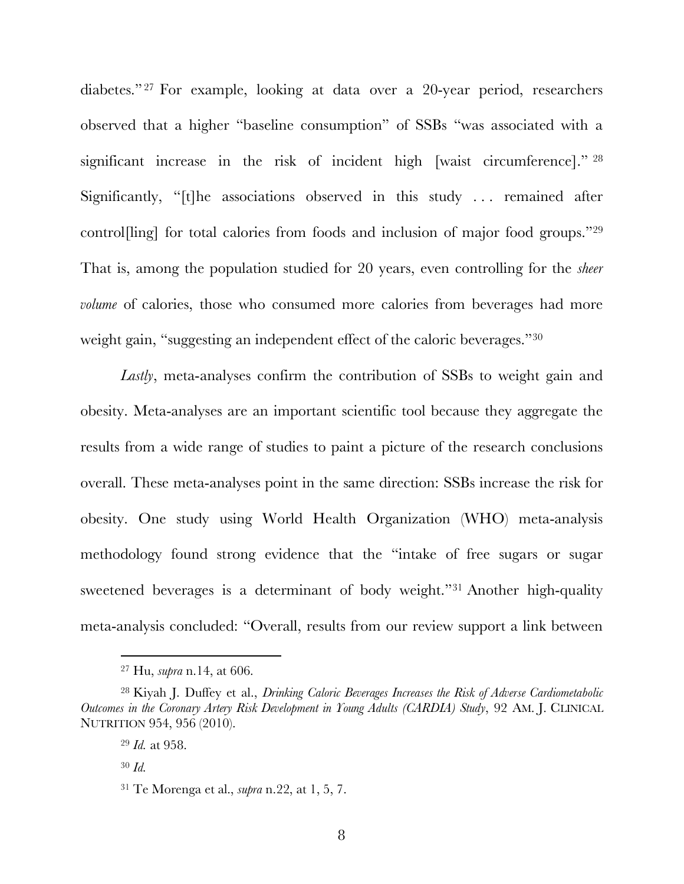diabetes." <sup>27</sup> For example, looking at data over a 20-year period, researchers observed that a higher "baseline consumption" of SSBs "was associated with a significant increase in the risk of incident high [waist circumference]." <sup>28</sup> Significantly, "[t]he associations observed in this study . . . remained after control[ling] for total calories from foods and inclusion of major food groups."29 That is, among the population studied for 20 years, even controlling for the *sheer volume* of calories, those who consumed more calories from beverages had more weight gain, "suggesting an independent effect of the caloric beverages."30

*Lastly*, meta-analyses confirm the contribution of SSBs to weight gain and obesity. Meta-analyses are an important scientific tool because they aggregate the results from a wide range of studies to paint a picture of the research conclusions overall. These meta-analyses point in the same direction: SSBs increase the risk for obesity. One study using World Health Organization (WHO) meta-analysis methodology found strong evidence that the "intake of free sugars or sugar sweetened beverages is a determinant of body weight."31 Another high-quality meta-analysis concluded: "Overall, results from our review support a link between

l

<sup>27</sup> Hu, *supra* n.14, at 606.

<sup>28</sup> Kiyah J. Duffey et al., *Drinking Caloric Beverages Increases the Risk of Adverse Cardiometabolic Outcomes in the Coronary Artery Risk Development in Young Adults (CARDIA) Study*, 92 AM. J. CLINICAL NUTRITION 954, 956 (2010).

<sup>29</sup> *Id.* at 958.

<sup>30</sup> *Id.*

<sup>31</sup> Te Morenga et al., *supra* n.22, at 1, 5, 7.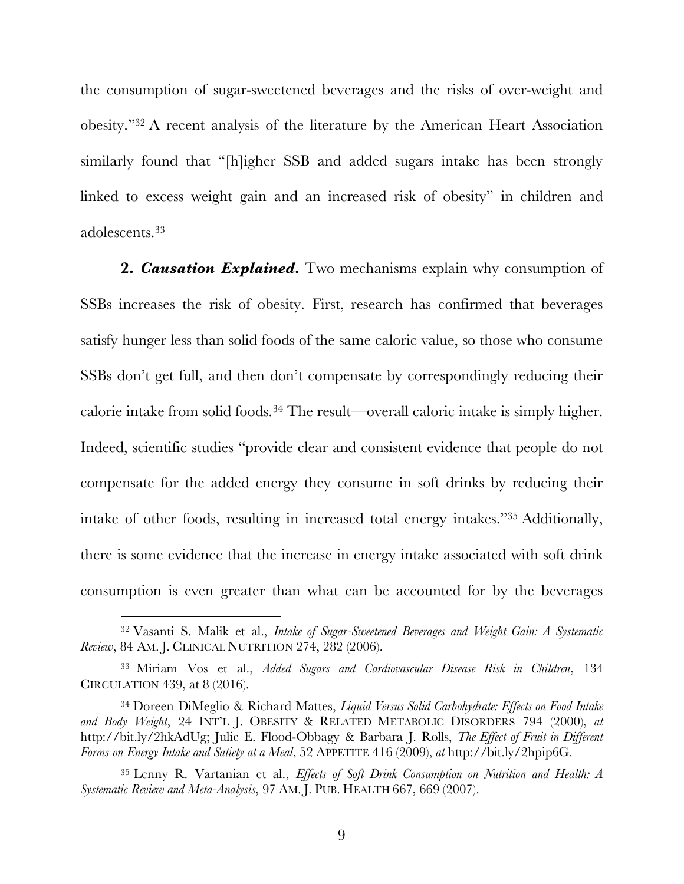the consumption of sugar-sweetened beverages and the risks of over-weight and obesity."32 A recent analysis of the literature by the American Heart Association similarly found that "[h]igher SSB and added sugars intake has been strongly linked to excess weight gain and an increased risk of obesity" in children and adolescents.33

**2.** *Causation Explained.* Two mechanisms explain why consumption of SSBs increases the risk of obesity. First, research has confirmed that beverages satisfy hunger less than solid foods of the same caloric value, so those who consume SSBs don't get full, and then don't compensate by correspondingly reducing their calorie intake from solid foods.34 The result—overall caloric intake is simply higher. Indeed, scientific studies "provide clear and consistent evidence that people do not compensate for the added energy they consume in soft drinks by reducing their intake of other foods, resulting in increased total energy intakes."35 Additionally, there is some evidence that the increase in energy intake associated with soft drink consumption is even greater than what can be accounted for by the beverages

<sup>32</sup> Vasanti S. Malik et al., *Intake of Sugar-Sweetened Beverages and Weight Gain: A Systematic Review*, 84 AM. J. CLINICAL NUTRITION 274, 282 (2006).

<sup>33</sup> Miriam Vos et al., *Added Sugars and Cardiovascular Disease Risk in Children*, 134 CIRCULATION 439, at 8 (2016).

<sup>34</sup> Doreen DiMeglio & Richard Mattes, *Liquid Versus Solid Carbohydrate: Effects on Food Intake and Body Weight*, 24 INT'L J. OBESITY & RELATED METABOLIC DISORDERS 794 (2000), *at*  http://bit.ly/2hkAdUg; Julie E. Flood-Obbagy & Barbara J. Rolls, *The Effect of Fruit in Different Forms on Energy Intake and Satiety at a Meal*, 52 APPETITE 416 (2009), *at* http://bit.ly/2hpip6G.

<sup>35</sup> Lenny R. Vartanian et al., *Effects of Soft Drink Consumption on Nutrition and Health: A Systematic Review and Meta-Analysis*, 97 AM. J. PUB. HEALTH 667, 669 (2007).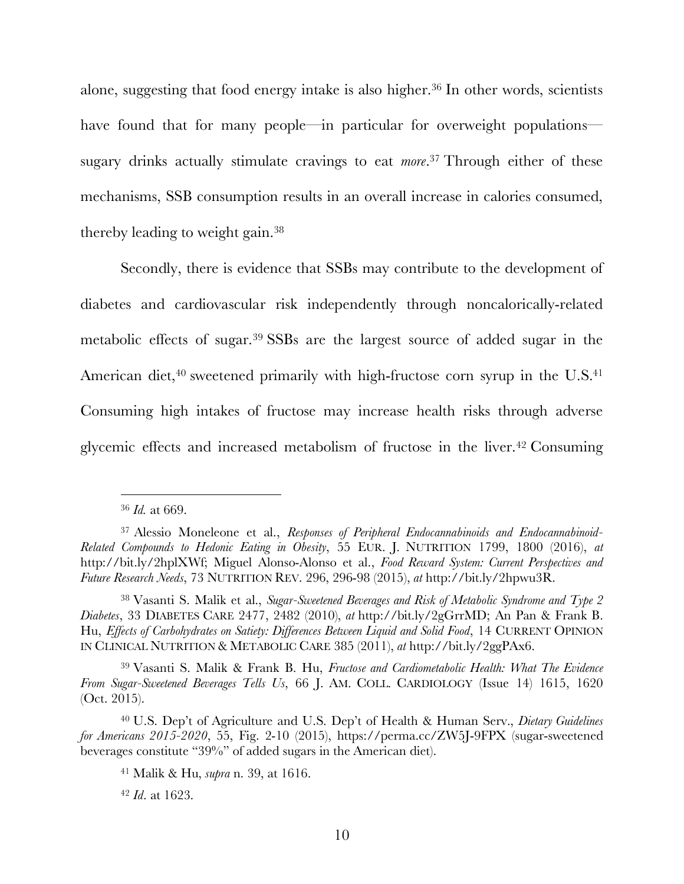alone, suggesting that food energy intake is also higher.36 In other words, scientists have found that for many people—in particular for overweight populations sugary drinks actually stimulate cravings to eat *more*. <sup>37</sup> Through either of these mechanisms, SSB consumption results in an overall increase in calories consumed, thereby leading to weight gain.38

Secondly, there is evidence that SSBs may contribute to the development of diabetes and cardiovascular risk independently through noncalorically-related metabolic effects of sugar.39 SSBs are the largest source of added sugar in the American diet, $40$  sweetened primarily with high-fructose corn syrup in the U.S. $41$ Consuming high intakes of fructose may increase health risks through adverse glycemic effects and increased metabolism of fructose in the liver.42 Consuming

<sup>36</sup> *Id.* at 669.

<sup>37</sup> Alessio Moneleone et al., *Responses of Peripheral Endocannabinoids and Endocannabinoid-Related Compounds to Hedonic Eating in Obesity*, 55 EUR. J. NUTRITION 1799, 1800 (2016), *at*  http://bit.ly/2hplXWf; Miguel Alonso-Alonso et al., *Food Reward System: Current Perspectives and Future Research Needs*, 73 NUTRITION REV. 296, 296-98 (2015), *at* http://bit.ly/2hpwu3R.

<sup>38</sup> Vasanti S. Malik et al., *Sugar-Sweetened Beverages and Risk of Metabolic Syndrome and Type 2 Diabetes*, 33 DIABETES CARE 2477, 2482 (2010), *at* http://bit.ly/2gGrrMD; An Pan & Frank B. Hu, *Effects of Carbohydrates on Satiety: Differences Between Liquid and Solid Food*, 14 CURRENT OPINION IN CLINICAL NUTRITION & METABOLIC CARE 385 (2011), *at* http://bit.ly/2ggPAx6.

<sup>39</sup> Vasanti S. Malik & Frank B. Hu, *Fructose and Cardiometabolic Health: What The Evidence From Sugar-Sweetened Beverages Tells Us*, 66 J. AM. COLL. CARDIOLOGY (Issue 14) 1615, 1620 (Oct. 2015).

<sup>40</sup> U.S. Dep't of Agriculture and U.S. Dep't of Health & Human Serv., *Dietary Guidelines for Americans 2015-2020*, 55, Fig. 2-10 (2015), https://perma.cc/ZW5J-9FPX (sugar-sweetened beverages constitute "39%" of added sugars in the American diet).

<sup>41</sup> Malik & Hu, *supra* n. 39, at 1616.

<sup>42</sup> *Id*. at 1623.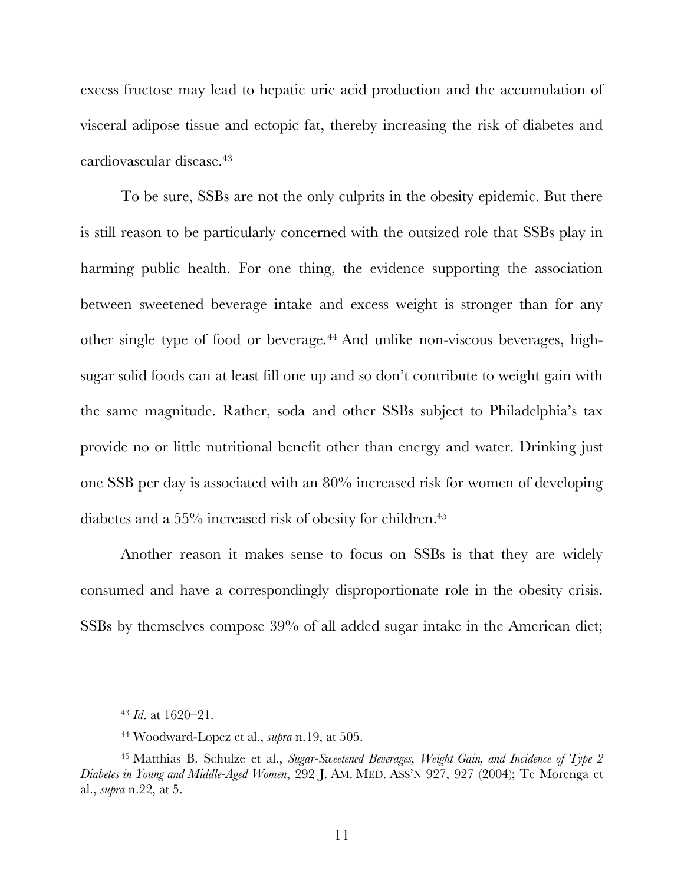excess fructose may lead to hepatic uric acid production and the accumulation of visceral adipose tissue and ectopic fat, thereby increasing the risk of diabetes and cardiovascular disease.43

To be sure, SSBs are not the only culprits in the obesity epidemic. But there is still reason to be particularly concerned with the outsized role that SSBs play in harming public health. For one thing, the evidence supporting the association between sweetened beverage intake and excess weight is stronger than for any other single type of food or beverage.44 And unlike non-viscous beverages, highsugar solid foods can at least fill one up and so don't contribute to weight gain with the same magnitude. Rather, soda and other SSBs subject to Philadelphia's tax provide no or little nutritional benefit other than energy and water. Drinking just one SSB per day is associated with an 80% increased risk for women of developing diabetes and a 55% increased risk of obesity for children.45

Another reason it makes sense to focus on SSBs is that they are widely consumed and have a correspondingly disproportionate role in the obesity crisis. SSBs by themselves compose 39% of all added sugar intake in the American diet;

<sup>43</sup> *Id*. at 1620–21.

<sup>44</sup> Woodward-Lopez et al., *supra* n.19, at 505.

<sup>45</sup> Matthias B. Schulze et al., *Sugar-Sweetened Beverages, Weight Gain, and Incidence of Type 2 Diabetes in Young and Middle-Aged Women*, 292 J. AM. MED. ASS'N 927, 927 (2004); Te Morenga et al., *supra* n.22, at 5.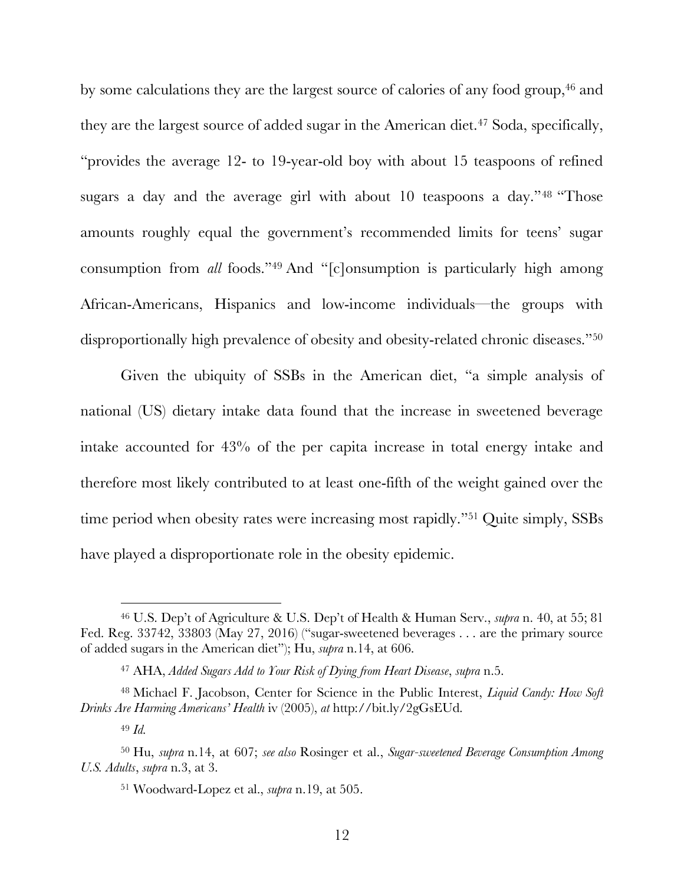by some calculations they are the largest source of calories of any food group,<sup>46</sup> and they are the largest source of added sugar in the American diet.<sup>47</sup> Soda, specifically, "provides the average 12- to 19-year-old boy with about 15 teaspoons of refined sugars a day and the average girl with about 10 teaspoons a day."<sup>48</sup> "Those amounts roughly equal the government's recommended limits for teens' sugar consumption from *all* foods."49 And "[c]onsumption is particularly high among African-Americans, Hispanics and low-income individuals—the groups with disproportionally high prevalence of obesity and obesity-related chronic diseases."50

Given the ubiquity of SSBs in the American diet, "a simple analysis of national (US) dietary intake data found that the increase in sweetened beverage intake accounted for 43% of the per capita increase in total energy intake and therefore most likely contributed to at least one-fifth of the weight gained over the time period when obesity rates were increasing most rapidly."<sup>51</sup> Quite simply, SSBs have played a disproportionate role in the obesity epidemic.

<sup>46</sup> U.S. Dep't of Agriculture & U.S. Dep't of Health & Human Serv., *supra* n. 40, at 55; 81 Fed. Reg. 33742, 33803 (May 27, 2016) ("sugar-sweetened beverages . . . are the primary source of added sugars in the American diet"); Hu, *supra* n.14, at 606.

<sup>47</sup> AHA, *Added Sugars Add to Your Risk of Dying from Heart Disease*, *supra* n.5.

<sup>48</sup> Michael F. Jacobson, Center for Science in the Public Interest, *Liquid Candy: How Soft Drinks Are Harming Americans' Health* iv (2005), *at* http://bit.ly/2gGsEUd.

<sup>49</sup> *Id.*

<sup>50</sup> Hu, *supra* n.14, at 607; *see also* Rosinger et al., *Sugar-sweetened Beverage Consumption Among U.S. Adults*, *supra* n.3, at 3.

<sup>51</sup> Woodward-Lopez et al., *supra* n.19, at 505.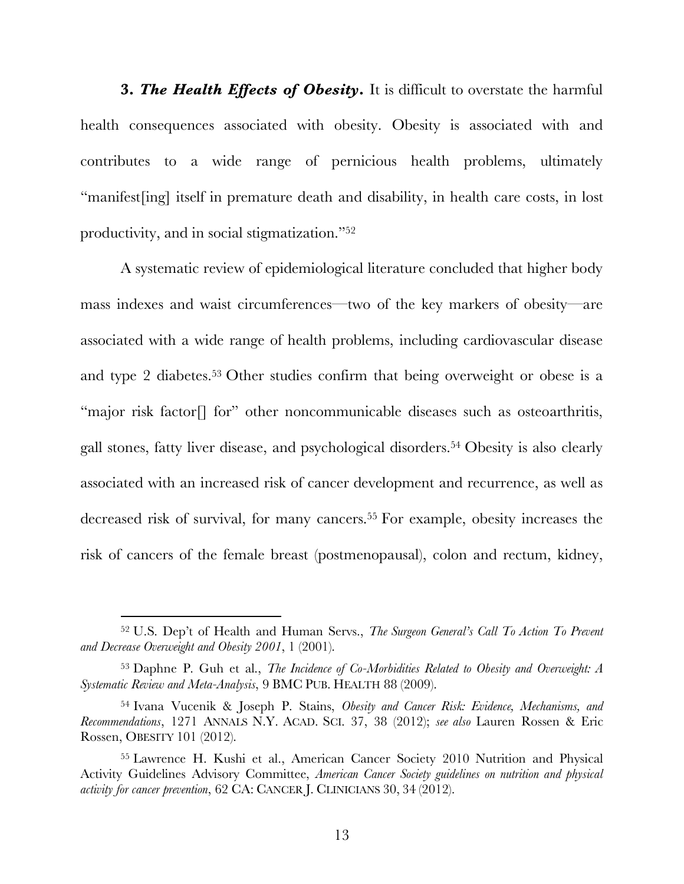**3.** *The Health Effects of Obesity***.** It is difficult to overstate the harmful health consequences associated with obesity. Obesity is associated with and contributes to a wide range of pernicious health problems, ultimately "manifest[ing] itself in premature death and disability, in health care costs, in lost productivity, and in social stigmatization."52

A systematic review of epidemiological literature concluded that higher body mass indexes and waist circumferences—two of the key markers of obesity—are associated with a wide range of health problems, including cardiovascular disease and type 2 diabetes. <sup>53</sup> Other studies confirm that being overweight or obese is a "major risk factor<sup>[]</sup> for" other noncommunicable diseases such as osteoarthritis, gall stones, fatty liver disease, and psychological disorders.54 Obesity is also clearly associated with an increased risk of cancer development and recurrence, as well as decreased risk of survival, for many cancers.<sup>55</sup> For example, obesity increases the risk of cancers of the female breast (postmenopausal), colon and rectum, kidney,

<sup>52</sup> U.S. Dep't of Health and Human Servs., *The Surgeon General's Call To Action To Prevent and Decrease Overweight and Obesity 2001*, 1 (2001).

<sup>53</sup> Daphne P. Guh et al., *The Incidence of Co-Morbidities Related to Obesity and Overweight: A Systematic Review and Meta-Analysis*, 9 BMC PUB. HEALTH 88 (2009).

<sup>54</sup> Ivana Vucenik & Joseph P. Stains, *Obesity and Cancer Risk: Evidence, Mechanisms, and Recommendations*, 1271 ANNALS N.Y. ACAD. SCI. 37, 38 (2012); *see also* Lauren Rossen & Eric Rossen, OBESITY 101 (2012).

<sup>55</sup> Lawrence H. Kushi et al., American Cancer Society 2010 Nutrition and Physical Activity Guidelines Advisory Committee, *American Cancer Society guidelines on nutrition and physical activity for cancer prevention*, 62 CA: CANCER J. CLINICIANS 30, 34 (2012).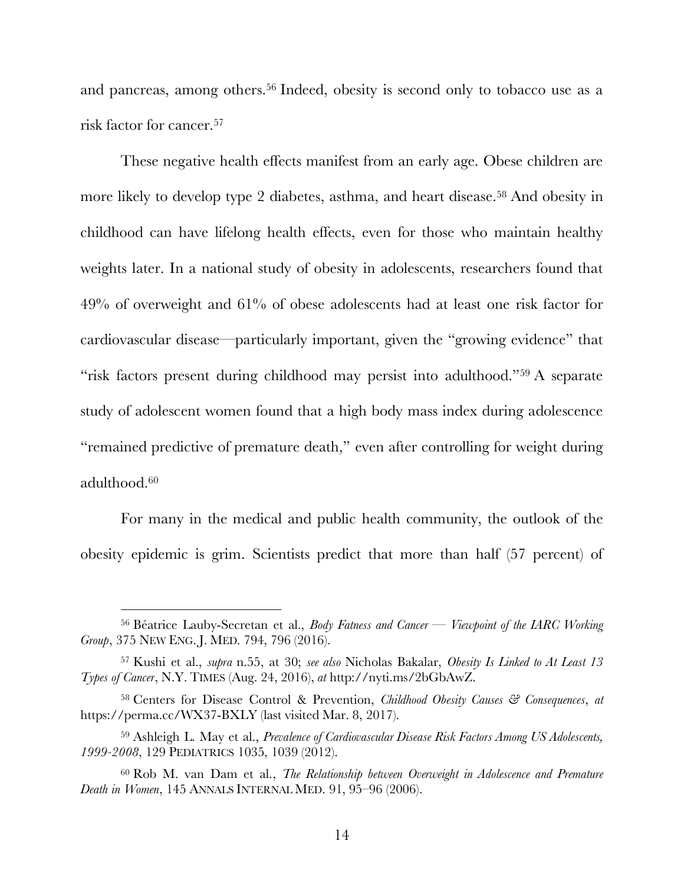and pancreas, among others. <sup>56</sup> Indeed, obesity is second only to tobacco use as a risk factor for cancer.57

These negative health effects manifest from an early age. Obese children are more likely to develop type 2 diabetes, asthma, and heart disease.58 And obesity in childhood can have lifelong health effects, even for those who maintain healthy weights later. In a national study of obesity in adolescents, researchers found that 49% of overweight and 61% of obese adolescents had at least one risk factor for cardiovascular disease—particularly important, given the "growing evidence" that "risk factors present during childhood may persist into adulthood."59 A separate study of adolescent women found that a high body mass index during adolescence "remained predictive of premature death," even after controlling for weight during adulthood.60

For many in the medical and public health community, the outlook of the obesity epidemic is grim. Scientists predict that more than half (57 percent) of

<sup>56</sup> Béatrice Lauby-Secretan et al., *Body Fatness and Cancer — Viewpoint of the IARC Working Group*, 375 NEW ENG. J. MED. 794, 796 (2016).

<sup>57</sup> Kushi et al., *supra* n.55, at 30; *see also* Nicholas Bakalar, *Obesity Is Linked to At Least 13 Types of Cancer*, N.Y. TIMES (Aug. 24, 2016), *at* http://nyti.ms/2bGbAwZ.

<sup>58</sup> Centers for Disease Control & Prevention, *Childhood Obesity Causes & Consequences*, *at*  https://perma.cc/WX37-BXLY (last visited Mar. 8, 2017).

<sup>59</sup> Ashleigh L. May et al., *Prevalence of Cardiovascular Disease Risk Factors Among US Adolescents, 1999-2008*, 129 PEDIATRICS 1035, 1039 (2012).

<sup>60</sup> Rob M. van Dam et al., *The Relationship between Overweight in Adolescence and Premature Death in Women*, 145 ANNALS INTERNAL MED. 91, 95–96 (2006).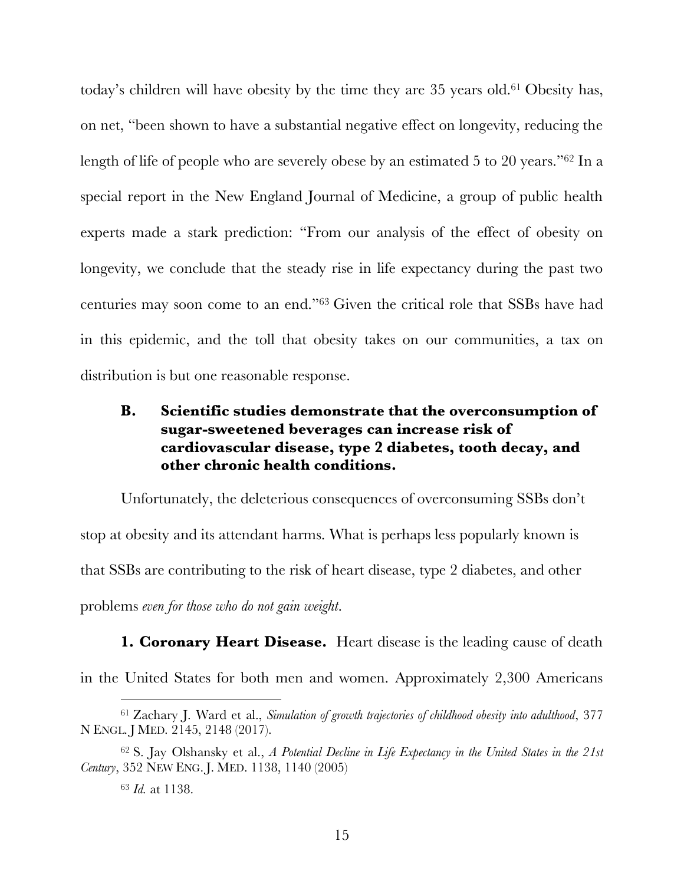today's children will have obesity by the time they are 35 years old.61 Obesity has, on net, "been shown to have a substantial negative effect on longevity, reducing the length of life of people who are severely obese by an estimated 5 to 20 years."62 In a special report in the New England Journal of Medicine, a group of public health experts made a stark prediction: "From our analysis of the effect of obesity on longevity, we conclude that the steady rise in life expectancy during the past two centuries may soon come to an end."63 Given the critical role that SSBs have had in this epidemic, and the toll that obesity takes on our communities, a tax on distribution is but one reasonable response.

### **B. Scientific studies demonstrate that the overconsumption of sugar-sweetened beverages can increase risk of cardiovascular disease, type 2 diabetes, tooth decay, and other chronic health conditions.**

Unfortunately, the deleterious consequences of overconsuming SSBs don't stop at obesity and its attendant harms. What is perhaps less popularly known is that SSBs are contributing to the risk of heart disease, type 2 diabetes, and other problems *even for those who do not gain weight*.

**1. Coronary Heart Disease.** Heart disease is the leading cause of death in the United States for both men and women. Approximately 2,300 Americans

<sup>61</sup> Zachary J. Ward et al., *Simulation of growth trajectories of childhood obesity into adulthood*, 377 N ENGL. J MED. 2145, 2148 (2017).

<sup>62</sup> S. Jay Olshansky et al., *A Potential Decline in Life Expectancy in the United States in the 21st Century*, 352 NEW ENG. J. MED. 1138, 1140 (2005)

<sup>63</sup> *Id.* at 1138.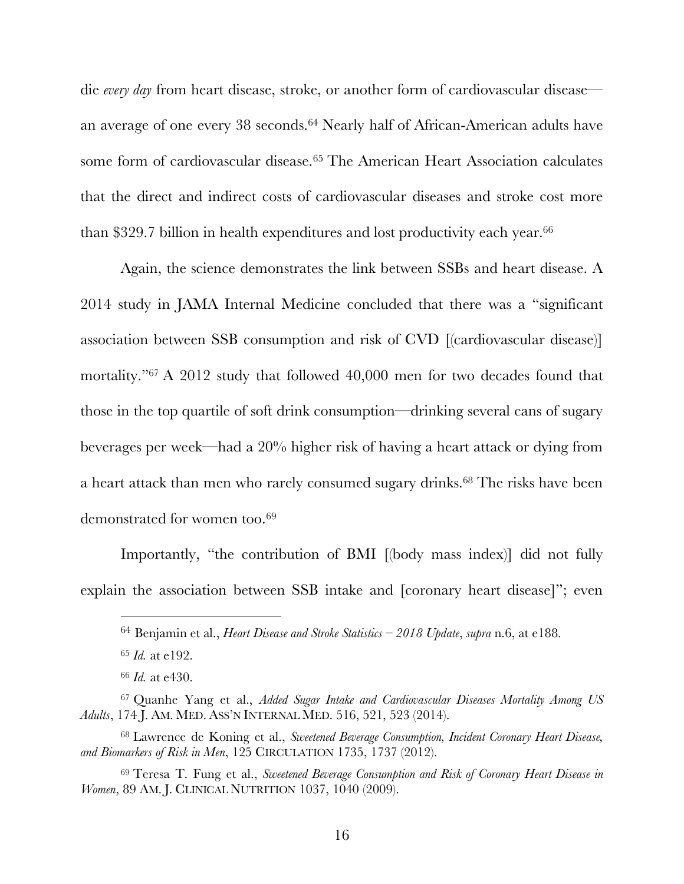die *every day* from heart disease, stroke, or another form of cardiovascular disease an average of one every 38 seconds.64 Nearly half of African-American adults have some form of cardiovascular disease.65 The American Heart Association calculates that the direct and indirect costs of cardiovascular diseases and stroke cost more than \$329.7 billion in health expenditures and lost productivity each year.<sup>66</sup>

Again, the science demonstrates the link between SSBs and heart disease. A 2014 study in JAMA Internal Medicine concluded that there was a "significant association between SSB consumption and risk of CVD [(cardiovascular disease)] mortality."67 A 2012 study that followed 40,000 men for two decades found that those in the top quartile of soft drink consumption—drinking several cans of sugary beverages per week—had a 20% higher risk of having a heart attack or dying from a heart attack than men who rarely consumed sugary drinks.68 The risks have been demonstrated for women too.<sup>69</sup>

Importantly, "the contribution of BMI [(body mass index)] did not fully explain the association between SSB intake and [coronary heart disease]"; even

<sup>64</sup> Benjamin et al., *Heart Disease and Stroke Statistics – 2018 Update*, *supra* n.6, at e188.

<sup>65</sup> *Id.* at e192.

<sup>66</sup> *Id.* at e430.

<sup>67</sup> Quanhe Yang et al., *Added Sugar Intake and Cardiovascular Diseases Mortality Among US Adults*, 174 J. AM. MED. ASS'N INTERNAL MED. 516, 521, 523 (2014).

<sup>68</sup> Lawrence de Koning et al., *Sweetened Beverage Consumption, Incident Coronary Heart Disease, and Biomarkers of Risk in Men*, 125 CIRCULATION 1735, 1737 (2012).

<sup>69</sup> Teresa T. Fung et al., *Sweetened Beverage Consumption and Risk of Coronary Heart Disease in Women*, 89 AM. J. CLINICAL NUTRITION 1037, 1040 (2009).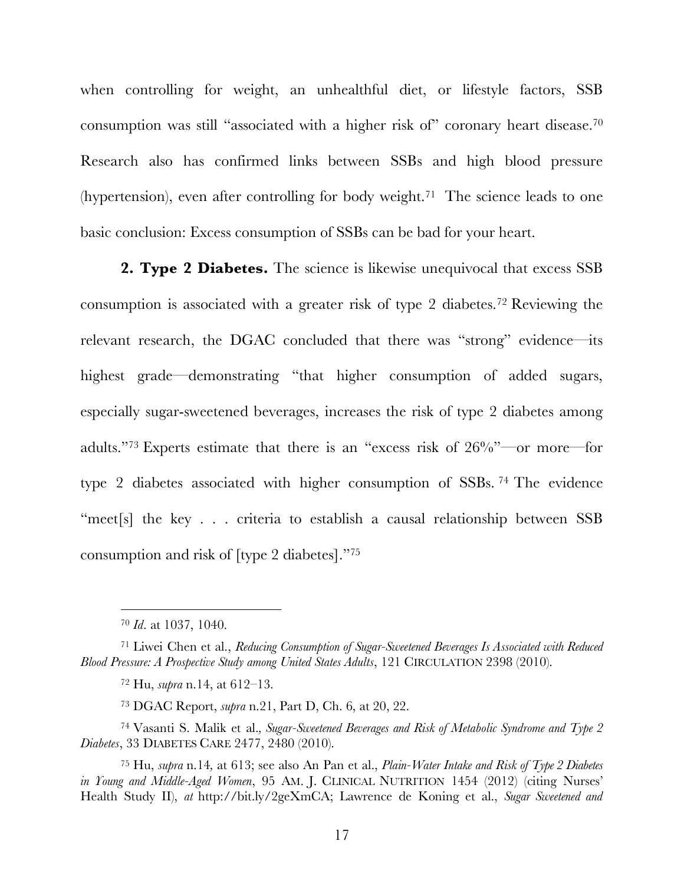when controlling for weight, an unhealthful diet, or lifestyle factors, SSB consumption was still "associated with a higher risk of" coronary heart disease.70 Research also has confirmed links between SSBs and high blood pressure (hypertension), even after controlling for body weight.<sup>71</sup> The science leads to one basic conclusion: Excess consumption of SSBs can be bad for your heart.

**2. Type 2 Diabetes.** The science is likewise unequivocal that excess SSB consumption is associated with a greater risk of type 2 diabetes.72 Reviewing the relevant research, the DGAC concluded that there was "strong" evidence—its highest grade—demonstrating "that higher consumption of added sugars, especially sugar-sweetened beverages, increases the risk of type 2 diabetes among adults."73 Experts estimate that there is an "excess risk of 26%"—or more—for type 2 diabetes associated with higher consumption of SSBs. <sup>74</sup> The evidence "meet[s] the key . . . criteria to establish a causal relationship between SSB consumption and risk of [type 2 diabetes]."75

 $\overline{a}$ 

<sup>73</sup> DGAC Report, *supra* n.21, Part D, Ch. 6, at 20, 22.

<sup>74</sup> Vasanti S. Malik et al.*, Sugar-Sweetened Beverages and Risk of Metabolic Syndrome and Type 2 Diabetes*, 33 DIABETES CARE 2477, 2480 (2010).

<sup>70</sup> *Id*. at 1037, 1040.

<sup>71</sup> Liwei Chen et al., *Reducing Consumption of Sugar-Sweetened Beverages Is Associated with Reduced Blood Pressure: A Prospective Study among United States Adults*, 121 CIRCULATION 2398 (2010).

<sup>72</sup> Hu, *supra* n.14, at 612–13.

<sup>75</sup> Hu, *supra* n.14*,* at 613; see also An Pan et al., *Plain-Water Intake and Risk of Type 2 Diabetes in Young and Middle-Aged Women*, 95 AM. J. CLINICAL NUTRITION 1454 (2012) (citing Nurses' Health Study II), *at* http://bit.ly/2geXmCA; Lawrence de Koning et al., *Sugar Sweetened and*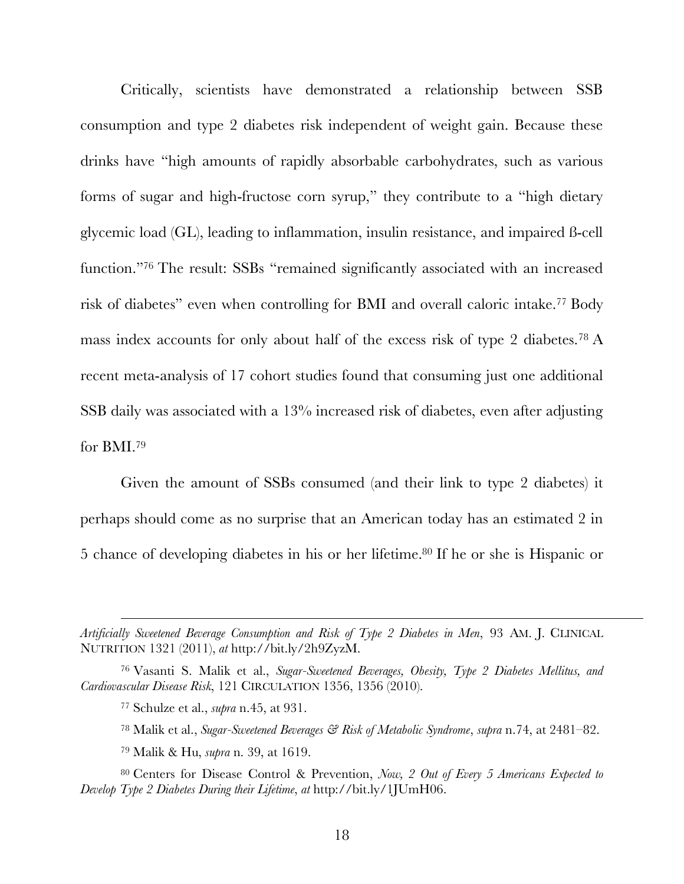Critically, scientists have demonstrated a relationship between SSB consumption and type 2 diabetes risk independent of weight gain. Because these drinks have "high amounts of rapidly absorbable carbohydrates, such as various forms of sugar and high-fructose corn syrup," they contribute to a "high dietary glycemic load (GL), leading to inflammation, insulin resistance, and impaired ß-cell function."76 The result: SSBs "remained significantly associated with an increased risk of diabetes" even when controlling for BMI and overall caloric intake.77 Body mass index accounts for only about half of the excess risk of type 2 diabetes.78 A recent meta-analysis of 17 cohort studies found that consuming just one additional SSB daily was associated with a 13% increased risk of diabetes, even after adjusting for BMI. 79

Given the amount of SSBs consumed (and their link to type 2 diabetes) it perhaps should come as no surprise that an American today has an estimated 2 in 5 chance of developing diabetes in his or her lifetime.80 If he or she is Hispanic or

*Artificially Sweetened Beverage Consumption and Risk of Type 2 Diabetes in Men*, 93 AM. J. CLINICAL NUTRITION 1321 (2011), *at* http://bit.ly/2h9ZyzM.

<sup>76</sup> Vasanti S. Malik et al., *Sugar-Sweetened Beverages, Obesity, Type 2 Diabetes Mellitus, and Cardiovascular Disease Risk*, 121 CIRCULATION 1356, 1356 (2010).

<sup>77</sup> Schulze et al., *supra* n.45, at 931.

<sup>78</sup> Malik et al., *Sugar-Sweetened Beverages & Risk of Metabolic Syndrome*, *supra* n.74, at 2481–82.

<sup>79</sup> Malik & Hu, *supra* n. 39, at 1619.

<sup>80</sup> Centers for Disease Control & Prevention, *Now, 2 Out of Every 5 Americans Expected to Develop Type 2 Diabetes During their Lifetime*, *at* http://bit.ly/1JUmH06.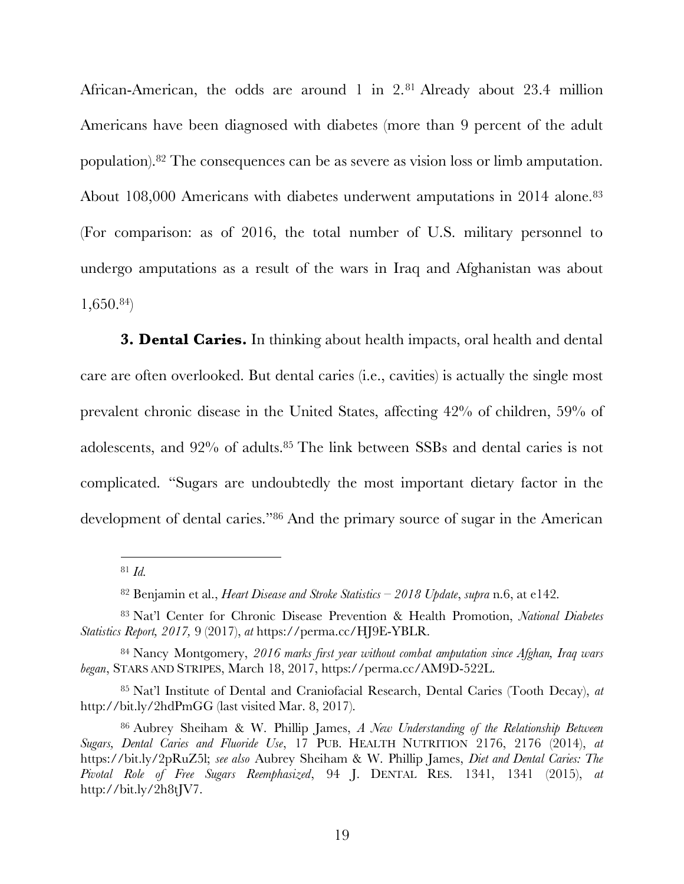African-American, the odds are around 1 in 2.81 Already about 23.4 million Americans have been diagnosed with diabetes (more than 9 percent of the adult population).82 The consequences can be as severe as vision loss or limb amputation. About 108,000 Americans with diabetes underwent amputations in 2014 alone.<sup>83</sup> (For comparison: as of 2016, the total number of U.S. military personnel to undergo amputations as a result of the wars in Iraq and Afghanistan was about 1,650. 84)

**3. Dental Caries.** In thinking about health impacts, oral health and dental care are often overlooked. But dental caries (i.e., cavities) is actually the single most prevalent chronic disease in the United States, affecting 42% of children, 59% of adolescents, and 92% of adults.85 The link between SSBs and dental caries is not complicated. "Sugars are undoubtedly the most important dietary factor in the development of dental caries."86 And the primary source of sugar in the American

 $\overline{a}$ 

<sup>82</sup> Benjamin et al., *Heart Disease and Stroke Statistics – 2018 Update*, *supra* n.6, at e142.

<sup>81</sup> *Id.*

<sup>83</sup> Nat'l Center for Chronic Disease Prevention & Health Promotion, *National Diabetes Statistics Report, 2017,* 9 (2017), *at* https://perma.cc/HJ9E-YBLR.

<sup>84</sup> Nancy Montgomery, *2016 marks first year without combat amputation since Afghan, Iraq wars began*, STARS AND STRIPES, March 18, 2017, https://perma.cc/AM9D-522L.

<sup>85</sup> Nat'l Institute of Dental and Craniofacial Research, Dental Caries (Tooth Decay), *at* http://bit.ly/2hdPmGG (last visited Mar. 8, 2017).

<sup>86</sup> Aubrey Sheiham & W. Phillip James, *A New Understanding of the Relationship Between Sugars, Dental Caries and Fluoride Use*, 17 PUB. HEALTH NUTRITION 2176, 2176 (2014), *at*  https://bit.ly/2pRuZ5l; *see also* Aubrey Sheiham & W. Phillip James, *Diet and Dental Caries: The Pivotal Role of Free Sugars Reemphasized*, 94 J. DENTAL RES. 1341, 1341 (2015), *at*  http://bit.ly/2h8tJV7.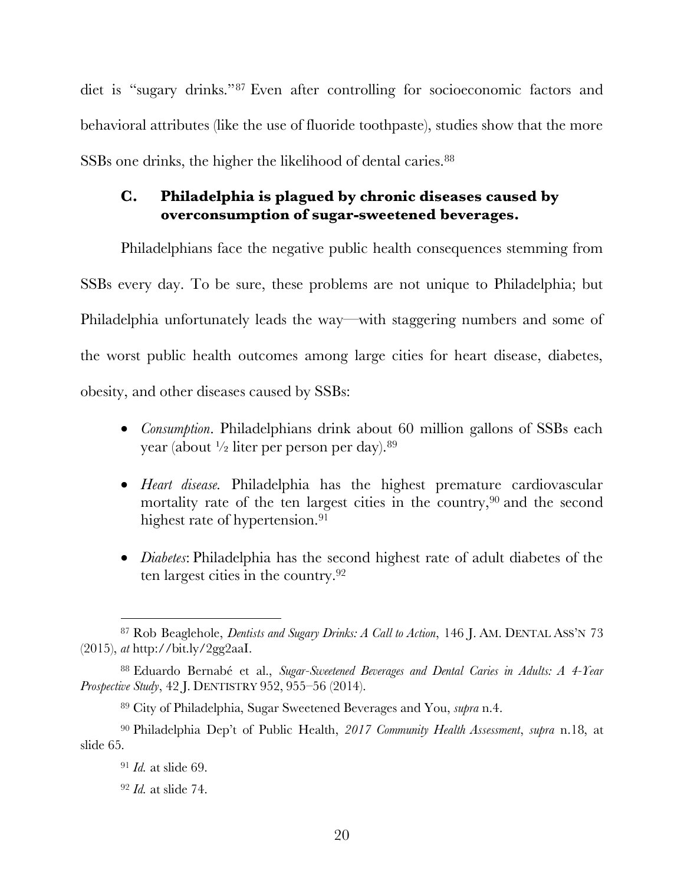diet is "sugary drinks."87 Even after controlling for socioeconomic factors and behavioral attributes (like the use of fluoride toothpaste), studies show that the more SSBs one drinks, the higher the likelihood of dental caries.<sup>88</sup>

### **C. Philadelphia is plagued by chronic diseases caused by overconsumption of sugar-sweetened beverages.**

Philadelphians face the negative public health consequences stemming from SSBs every day. To be sure, these problems are not unique to Philadelphia; but Philadelphia unfortunately leads the way—with staggering numbers and some of the worst public health outcomes among large cities for heart disease, diabetes, obesity, and other diseases caused by SSBs:

- *Consumption*. Philadelphians drink about 60 million gallons of SSBs each year (about  $\frac{1}{2}$  liter per person per day). <sup>89</sup>
- *Heart disease.* Philadelphia has the highest premature cardiovascular mortality rate of the ten largest cities in the country,  $90$  and the second highest rate of hypertension.<sup>91</sup>
- *Diabetes*: Philadelphia has the second highest rate of adult diabetes of the ten largest cities in the country.92

<sup>87</sup> Rob Beaglehole, *Dentists and Sugary Drinks: A Call to Action*, 146 J. AM. DENTAL ASS'N 73 (2015), *at* http://bit.ly/2gg2aaI.

<sup>88</sup> Eduardo Bernabé et al., *Sugar-Sweetened Beverages and Dental Caries in Adults: A 4-Year Prospective Study*, 42 J. DENTISTRY 952, 955–56 (2014).

<sup>89</sup> City of Philadelphia, Sugar Sweetened Beverages and You, *supra* n.4.

<sup>90</sup> Philadelphia Dep't of Public Health, *2017 Community Health Assessment*, *supra* n.18, at slide 65.

<sup>91</sup> *Id.* at slide 69.

<sup>92</sup> *Id.* at slide 74.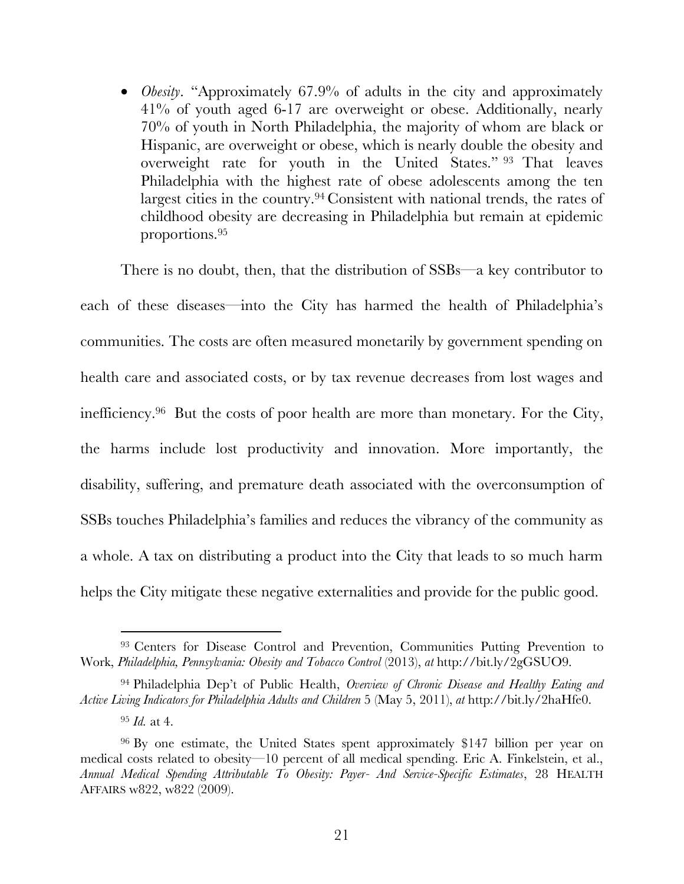• *Obesity*. "Approximately 67.9% of adults in the city and approximately 41% of youth aged 6-17 are overweight or obese. Additionally, nearly 70% of youth in North Philadelphia, the majority of whom are black or Hispanic, are overweight or obese, which is nearly double the obesity and overweight rate for youth in the United States." <sup>93</sup> That leaves Philadelphia with the highest rate of obese adolescents among the ten largest cities in the country.94 Consistent with national trends, the rates of childhood obesity are decreasing in Philadelphia but remain at epidemic proportions.95

There is no doubt, then, that the distribution of SSBs—a key contributor to each of these diseases—into the City has harmed the health of Philadelphia's communities. The costs are often measured monetarily by government spending on health care and associated costs, or by tax revenue decreases from lost wages and inefficiency.96 But the costs of poor health are more than monetary. For the City, the harms include lost productivity and innovation. More importantly, the disability, suffering, and premature death associated with the overconsumption of SSBs touches Philadelphia's families and reduces the vibrancy of the community as a whole. A tax on distributing a product into the City that leads to so much harm helps the City mitigate these negative externalities and provide for the public good.

<sup>&</sup>lt;sup>93</sup> Centers for Disease Control and Prevention, Communities Putting Prevention to Work, *Philadelphia, Pennsylvania: Obesity and Tobacco Control* (2013), *at* http://bit.ly/2gGSUO9.

<sup>94</sup> Philadelphia Dep't of Public Health, *Overview of Chronic Disease and Healthy Eating and Active Living Indicators for Philadelphia Adults and Children* 5 (May 5, 2011), *at* http://bit.ly/2haHfe0.

<sup>95</sup> *Id.* at 4.

<sup>96</sup> By one estimate, the United States spent approximately \$147 billion per year on medical costs related to obesity—10 percent of all medical spending. Eric A. Finkelstein, et al., *Annual Medical Spending Attributable To Obesity: Payer- And Service-Specific Estimates*, 28 HEALTH AFFAIRS w822, w822 (2009).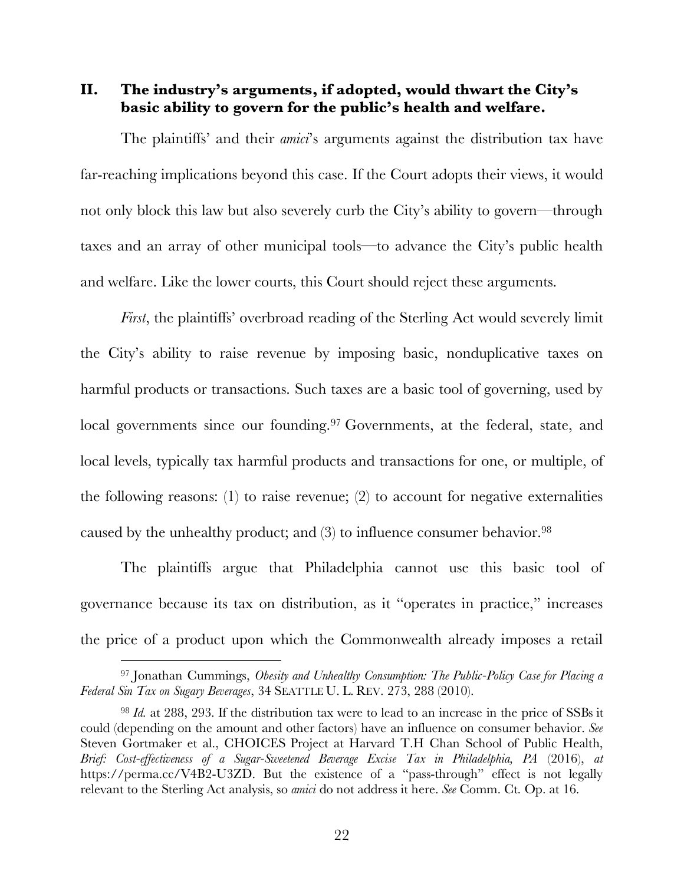**II. The industry's arguments, if adopted, would thwart the City's basic ability to govern for the public's health and welfare.**

The plaintiffs' and their *amici*'s arguments against the distribution tax have far-reaching implications beyond this case. If the Court adopts their views, it would not only block this law but also severely curb the City's ability to govern—through taxes and an array of other municipal tools—to advance the City's public health and welfare. Like the lower courts, this Court should reject these arguments.

*First*, the plaintiffs' overbroad reading of the Sterling Act would severely limit the City's ability to raise revenue by imposing basic, nonduplicative taxes on harmful products or transactions. Such taxes are a basic tool of governing, used by local governments since our founding.<sup>97</sup> Governments, at the federal, state, and local levels, typically tax harmful products and transactions for one, or multiple, of the following reasons: (1) to raise revenue; (2) to account for negative externalities caused by the unhealthy product; and (3) to influence consumer behavior.98

The plaintiffs argue that Philadelphia cannot use this basic tool of governance because its tax on distribution, as it "operates in practice," increases the price of a product upon which the Commonwealth already imposes a retail

<sup>97</sup> Jonathan Cummings, *Obesity and Unhealthy Consumption: The Public-Policy Case for Placing a Federal Sin Tax on Sugary Beverages*, 34 SEATTLE U. L. REV. 273, 288 (2010).

<sup>98</sup> *Id.* at 288, 293. If the distribution tax were to lead to an increase in the price of SSBs it could (depending on the amount and other factors) have an influence on consumer behavior. *See*  Steven Gortmaker et al., CHOICES Project at Harvard T.H Chan School of Public Health, *Brief: Cost-effectiveness of a Sugar-Sweetened Beverage Excise Tax in Philadelphia, PA* (2016), *at*  https://perma.cc/V4B2-U3ZD. But the existence of a "pass-through" effect is not legally relevant to the Sterling Act analysis, so *amici* do not address it here. *See* Comm. Ct. Op. at 16.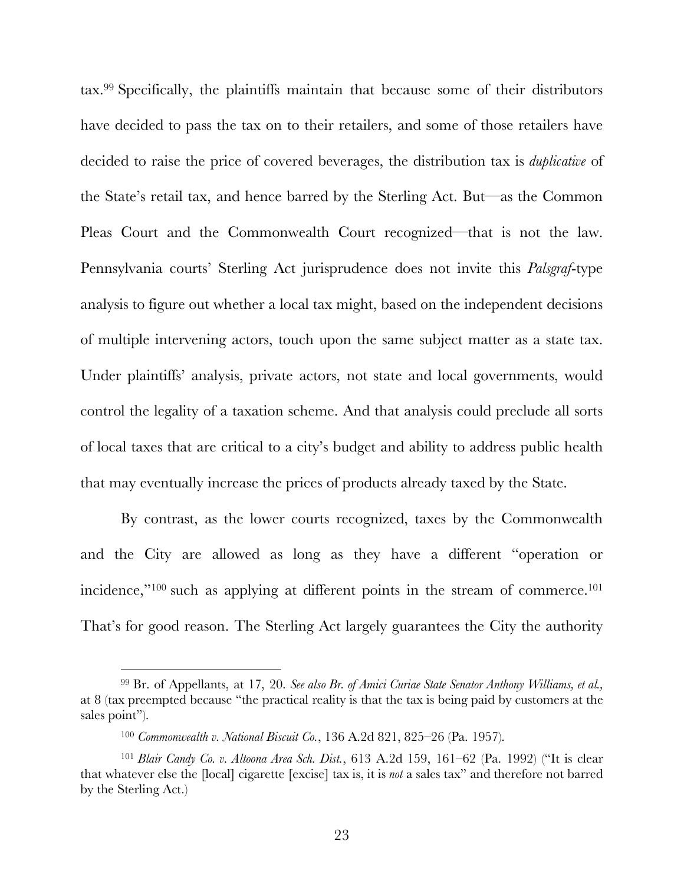tax.99 Specifically, the plaintiffs maintain that because some of their distributors have decided to pass the tax on to their retailers, and some of those retailers have decided to raise the price of covered beverages, the distribution tax is *duplicative* of the State's retail tax, and hence barred by the Sterling Act. But—as the Common Pleas Court and the Commonwealth Court recognized—that is not the law. Pennsylvania courts' Sterling Act jurisprudence does not invite this *Palsgraf*-type analysis to figure out whether a local tax might, based on the independent decisions of multiple intervening actors, touch upon the same subject matter as a state tax. Under plaintiffs' analysis, private actors, not state and local governments, would control the legality of a taxation scheme. And that analysis could preclude all sorts of local taxes that are critical to a city's budget and ability to address public health that may eventually increase the prices of products already taxed by the State.

By contrast, as the lower courts recognized, taxes by the Commonwealth and the City are allowed as long as they have a different "operation or incidence,"<sup>100</sup> such as applying at different points in the stream of commerce.<sup>101</sup> That's for good reason. The Sterling Act largely guarantees the City the authority

l

<sup>99</sup> Br. of Appellants, at 17, 20. *See also Br. of Amici Curiae State Senator Anthony Williams, et al.,* at 8 (tax preempted because "the practical reality is that the tax is being paid by customers at the sales point").

<sup>100</sup> *Commonwealth v. National Biscuit Co.*, 136 A.2d 821, 825–26 (Pa. 1957).

<sup>101</sup> *Blair Candy Co. v. Altoona Area Sch. Dist.*, 613 A.2d 159, 161–62 (Pa. 1992) ("It is clear that whatever else the [local] cigarette [excise] tax is, it is *not* a sales tax" and therefore not barred by the Sterling Act.)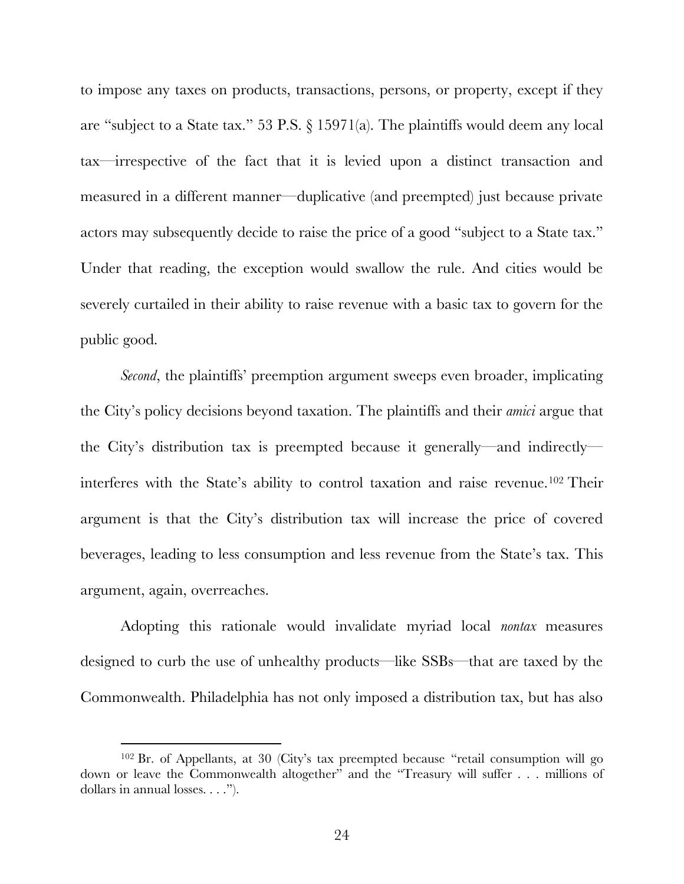to impose any taxes on products, transactions, persons, or property, except if they are "subject to a State tax." 53 P.S. § 15971(a). The plaintiffs would deem any local tax—irrespective of the fact that it is levied upon a distinct transaction and measured in a different manner—duplicative (and preempted) just because private actors may subsequently decide to raise the price of a good "subject to a State tax." Under that reading, the exception would swallow the rule. And cities would be severely curtailed in their ability to raise revenue with a basic tax to govern for the public good.

*Second*, the plaintiffs' preemption argument sweeps even broader, implicating the City's policy decisions beyond taxation. The plaintiffs and their *amici* argue that the City's distribution tax is preempted because it generally—and indirectly interferes with the State's ability to control taxation and raise revenue.102 Their argument is that the City's distribution tax will increase the price of covered beverages, leading to less consumption and less revenue from the State's tax. This argument, again, overreaches.

Adopting this rationale would invalidate myriad local *nontax* measures designed to curb the use of unhealthy products—like SSBs—that are taxed by the Commonwealth. Philadelphia has not only imposed a distribution tax, but has also

<sup>102</sup> Br. of Appellants, at 30 (City's tax preempted because "retail consumption will go down or leave the Commonwealth altogether" and the "Treasury will suffer . . . millions of dollars in annual losses. . . .").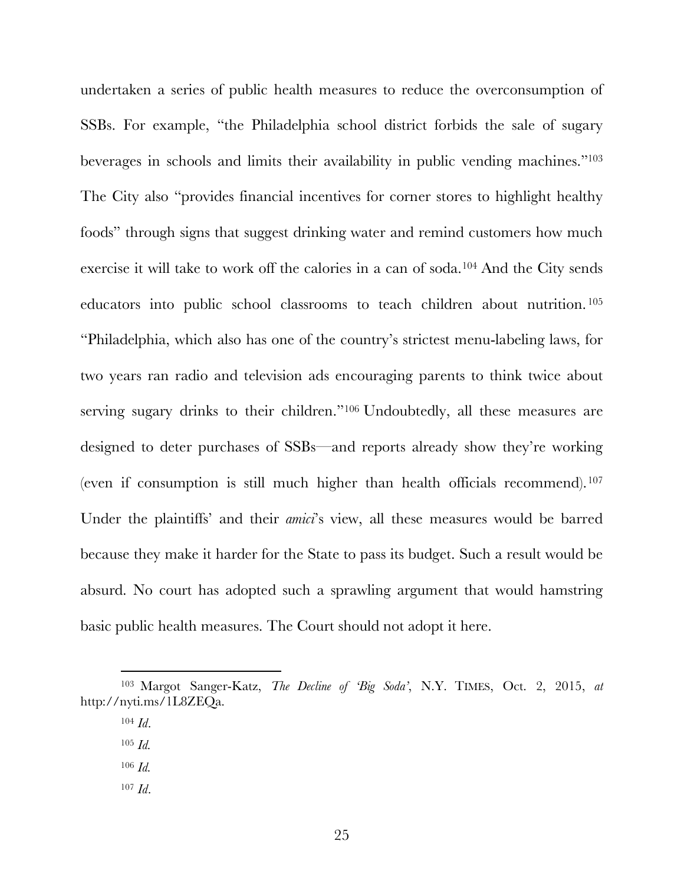undertaken a series of public health measures to reduce the overconsumption of SSBs. For example, "the Philadelphia school district forbids the sale of sugary beverages in schools and limits their availability in public vending machines."103 The City also "provides financial incentives for corner stores to highlight healthy foods" through signs that suggest drinking water and remind customers how much exercise it will take to work off the calories in a can of soda.104 And the City sends educators into public school classrooms to teach children about nutrition. <sup>105</sup> "Philadelphia, which also has one of the country's strictest menu-labeling laws, for two years ran radio and television ads encouraging parents to think twice about serving sugary drinks to their children."<sup>106</sup> Undoubtedly, all these measures are designed to deter purchases of SSBs—and reports already show they're working (even if consumption is still much higher than health officials recommend).<sup>107</sup> Under the plaintiffs' and their *amici*'s view, all these measures would be barred because they make it harder for the State to pass its budget. Such a result would be absurd. No court has adopted such a sprawling argument that would hamstring basic public health measures. The Court should not adopt it here.

- <sup>105</sup> *Id.*
- <sup>106</sup> *Id.*
- <sup>107</sup> *Id*.

<sup>103</sup> Margot Sanger-Katz, *The Decline of 'Big Soda'*, N.Y. TIMES, Oct. 2, 2015, *at*  http://nyti.ms/1L8ZEQa.

<sup>104</sup> *Id*.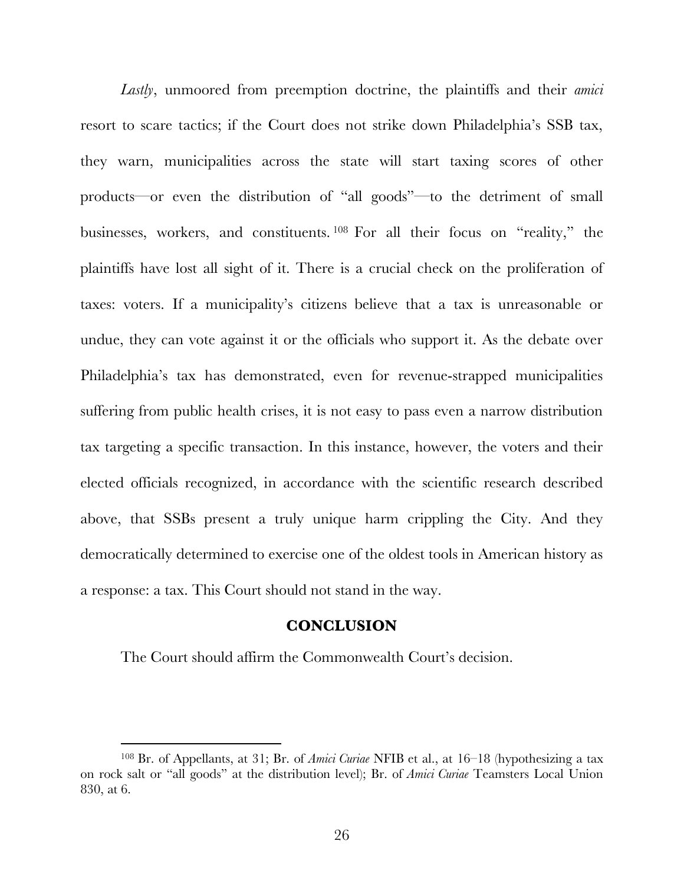*Lastly*, unmoored from preemption doctrine, the plaintiffs and their *amici* resort to scare tactics; if the Court does not strike down Philadelphia's SSB tax, they warn, municipalities across the state will start taxing scores of other products—or even the distribution of "all goods"—to the detriment of small businesses, workers, and constituents. <sup>108</sup> For all their focus on "reality," the plaintiffs have lost all sight of it. There is a crucial check on the proliferation of taxes: voters. If a municipality's citizens believe that a tax is unreasonable or undue, they can vote against it or the officials who support it. As the debate over Philadelphia's tax has demonstrated, even for revenue-strapped municipalities suffering from public health crises, it is not easy to pass even a narrow distribution tax targeting a specific transaction. In this instance, however, the voters and their elected officials recognized, in accordance with the scientific research described above, that SSBs present a truly unique harm crippling the City. And they democratically determined to exercise one of the oldest tools in American history as a response: a tax. This Court should not stand in the way.

#### **CONCLUSION**

The Court should affirm the Commonwealth Court's decision.

<sup>108</sup> Br. of Appellants, at 31; Br. of *Amici Curiae* NFIB et al., at 16–18 (hypothesizing a tax on rock salt or "all goods" at the distribution level); Br. of *Amici Curiae* Teamsters Local Union 830, at 6.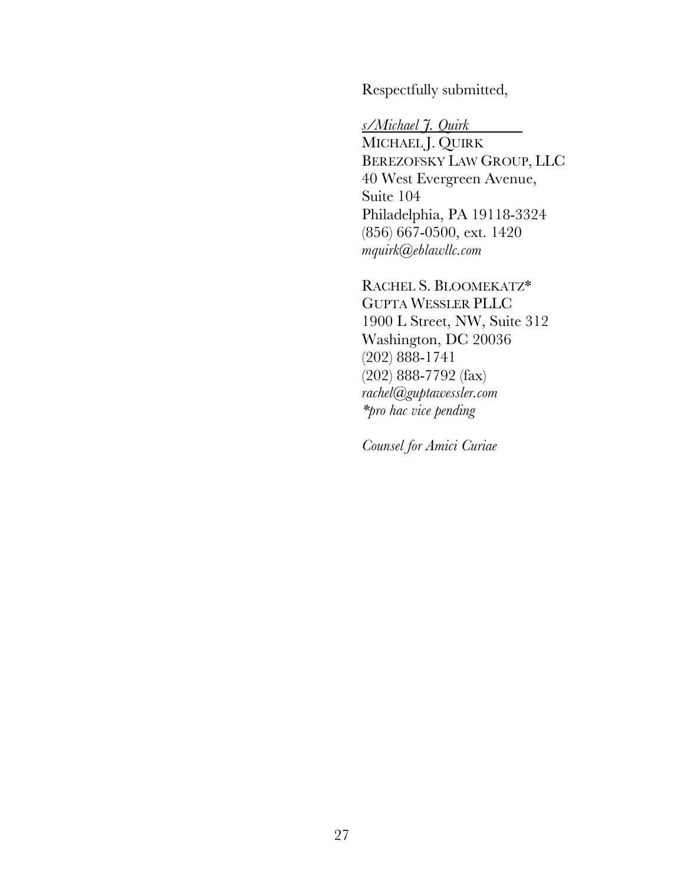Respectfully submitted,

*s/Michael J. Quirk*

MICHAEL J. QUIRK BEREZOFSKY LAW GROUP, LLC 40 West Evergreen Avenue, Suite 104 Philadelphia, PA 19118-3324 (856) 667-0500, ext. 1420 *mquirk@eblawllc.com*

RACHEL S. BLOOMEKATZ\* GUPTA WESSLER PLLC 1900 L Street, NW, Suite 312 Washington, DC 20036 (202) 888-1741 (202) 888-7792 (fax) *rachel@guptawessler.com \*pro hac vice pending*

*Counsel for Amici Curiae*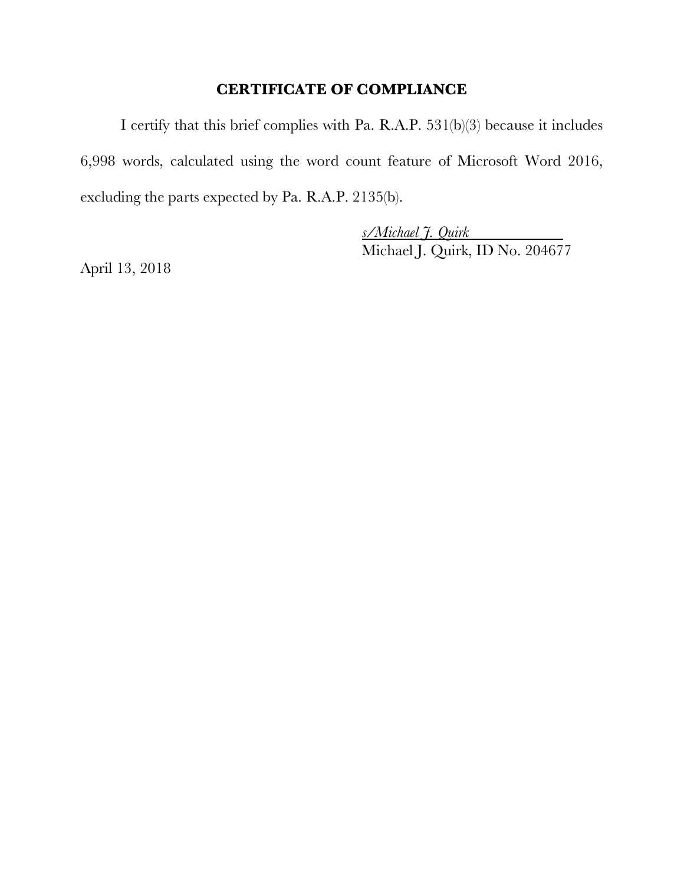### **CERTIFICATE OF COMPLIANCE**

I certify that this brief complies with Pa. R.A.P. 531(b)(3) because it includes 6,998 words, calculated using the word count feature of Microsoft Word 2016, excluding the parts expected by Pa. R.A.P. 2135(b).

> *s/Michael J. Quirk* Michael J. Quirk, ID No. 204677

April 13, 2018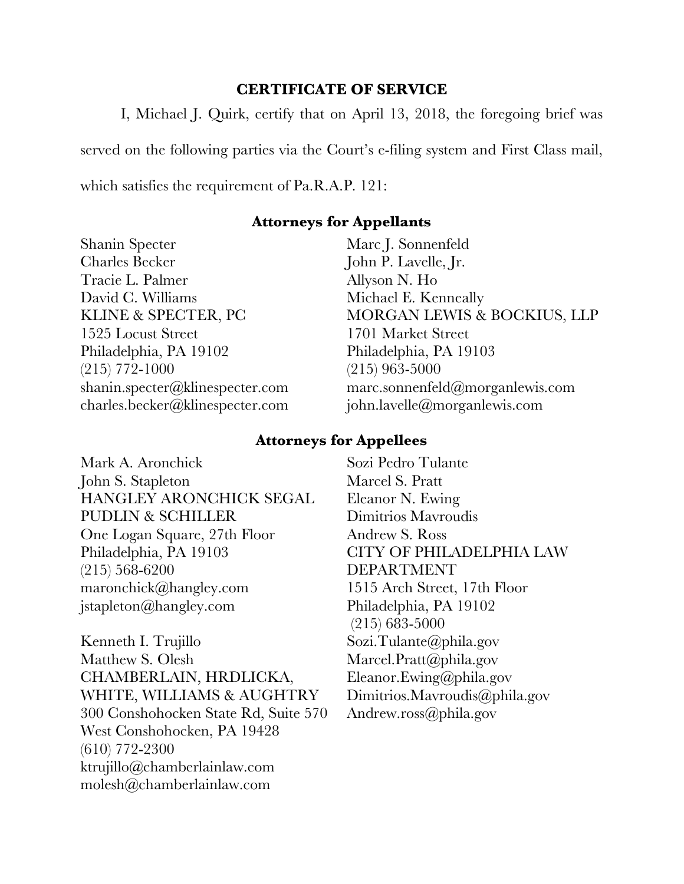#### **CERTIFICATE OF SERVICE**

I, Michael J. Quirk, certify that on April 13, 2018, the foregoing brief was

served on the following parties via the Court's e-filing system and First Class mail,

which satisfies the requirement of Pa.R.A.P. 121:

### **Attorneys for Appellants**

Shanin Specter Charles Becker Tracie L. Palmer David C. Williams KLINE & SPECTER, PC 1525 Locust Street Philadelphia, PA 19102 (215) 772-1000 shanin.specter@klinespecter.com charles.becker@klinespecter.com

Marc J. Sonnenfeld John P. Lavelle, Jr. Allyson N. Ho Michael E. Kenneally MORGAN LEWIS & BOCKIUS, LLP 1701 Market Street Philadelphia, PA 19103 (215) 963-5000 marc.sonnenfeld@morganlewis.com john.lavelle@morganlewis.com

## **Attorneys for Appellees**

Mark A. Aronchick John S. Stapleton HANGLEY ARONCHICK SEGAL PUDLIN & SCHILLER One Logan Square, 27th Floor Philadelphia, PA 19103 (215) 568-6200 maronchick@hangley.com jstapleton@hangley.com

Kenneth I. Trujillo Matthew S. Olesh CHAMBERLAIN, HRDLICKA, WHITE, WILLIAMS & AUGHTRY 300 Conshohocken State Rd, Suite 570 West Conshohocken, PA 19428 (610) 772-2300 ktrujillo@chamberlainlaw.com molesh@chamberlainlaw.com

Sozi Pedro Tulante Marcel S. Pratt Eleanor N. Ewing Dimitrios Mavroudis Andrew S. Ross CITY OF PHILADELPHIA LAW DEPARTMENT 1515 Arch Street, 17th Floor Philadelphia, PA 19102 (215) 683-5000 Sozi.Tulante@phila.gov Marcel.Pratt@phila.gov Eleanor.Ewing@phila.gov Dimitrios.Mavroudis@phila.gov Andrew.ross@phila.gov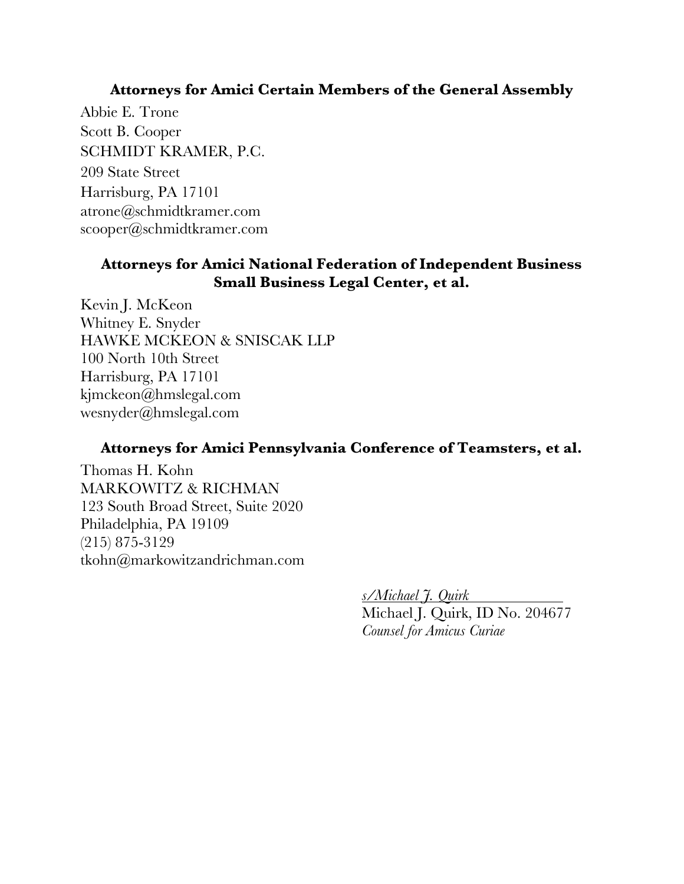#### **Attorneys for Amici Certain Members of the General Assembly**

Abbie E. Trone Scott B. Cooper SCHMIDT KRAMER, P.C. 209 State Street Harrisburg, PA 17101 atrone@schmidtkramer.com scooper@schmidtkramer.com

### **Attorneys for Amici National Federation of Independent Business Small Business Legal Center, et al.**

Kevin J. McKeon Whitney E. Snyder HAWKE MCKEON & SNISCAK LLP 100 North 10th Street Harrisburg, PA 17101 kjmckeon@hmslegal.com wesnyder@hmslegal.com

#### **Attorneys for Amici Pennsylvania Conference of Teamsters, et al.**

Thomas H. Kohn MARKOWITZ & RICHMAN 123 South Broad Street, Suite 2020 Philadelphia, PA 19109 (215) 875-3129 tkohn@markowitzandrichman.com

> *s/Michael J. Quirk* Michael J. Quirk, ID No. 204677 *Counsel for Amicus Curiae*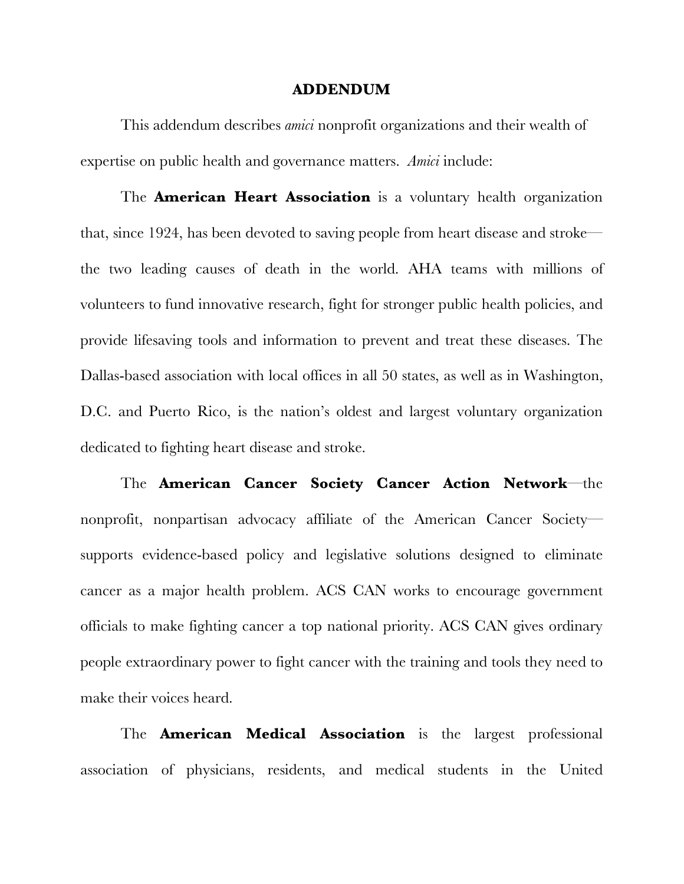#### **ADDENDUM**

This addendum describes *amici* nonprofit organizations and their wealth of expertise on public health and governance matters. *Amici* include:

The **American Heart Association** is a voluntary health organization that, since 1924, has been devoted to saving people from heart disease and stroke the two leading causes of death in the world. AHA teams with millions of volunteers to fund innovative research, fight for stronger public health policies, and provide lifesaving tools and information to prevent and treat these diseases. The Dallas-based association with local offices in all 50 states, as well as in Washington, D.C. and Puerto Rico, is the nation's oldest and largest voluntary organization dedicated to fighting heart disease and stroke.

The **American Cancer Society Cancer Action Network**—the nonprofit, nonpartisan advocacy affiliate of the American Cancer Society supports evidence-based policy and legislative solutions designed to eliminate cancer as a major health problem. ACS CAN works to encourage government officials to make fighting cancer a top national priority. ACS CAN gives ordinary people extraordinary power to fight cancer with the training and tools they need to make their voices heard.

The **American Medical Association** is the largest professional association of physicians, residents, and medical students in the United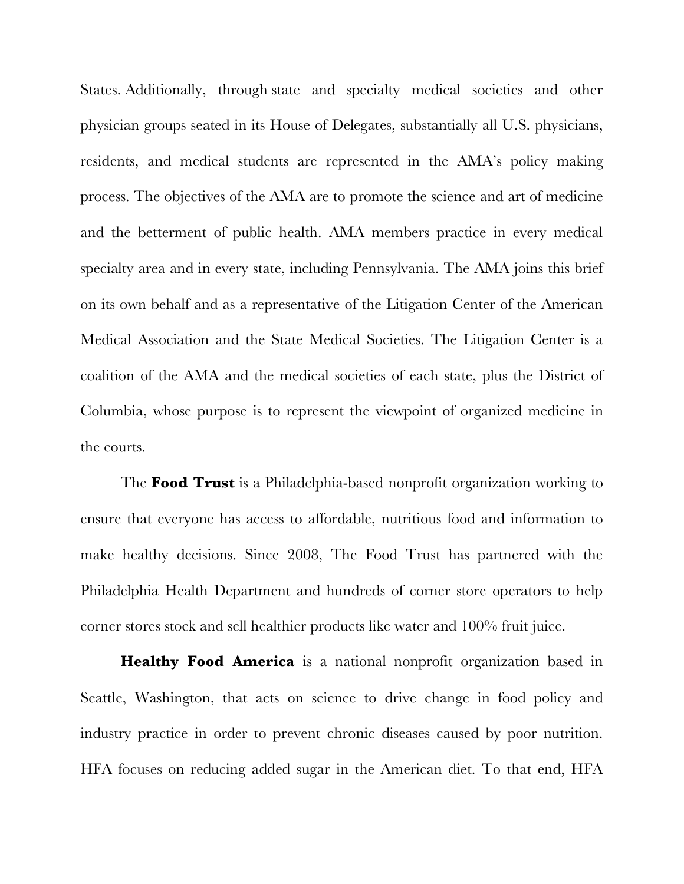States. Additionally, through state and specialty medical societies and other physician groups seated in its House of Delegates, substantially all U.S. physicians, residents, and medical students are represented in the AMA's policy making process. The objectives of the AMA are to promote the science and art of medicine and the betterment of public health. AMA members practice in every medical specialty area and in every state, including Pennsylvania. The AMA joins this brief on its own behalf and as a representative of the Litigation Center of the American Medical Association and the State Medical Societies. The Litigation Center is a coalition of the AMA and the medical societies of each state, plus the District of Columbia, whose purpose is to represent the viewpoint of organized medicine in the courts.

The **Food Trust** is a Philadelphia-based nonprofit organization working to ensure that everyone has access to affordable, nutritious food and information to make healthy decisions. Since 2008, The Food Trust has partnered with the Philadelphia Health Department and hundreds of corner store operators to help corner stores stock and sell healthier products like water and 100% fruit juice.

**Healthy Food America** is a national nonprofit organization based in Seattle, Washington, that acts on science to drive change in food policy and industry practice in order to prevent chronic diseases caused by poor nutrition. HFA focuses on reducing added sugar in the American diet. To that end, HFA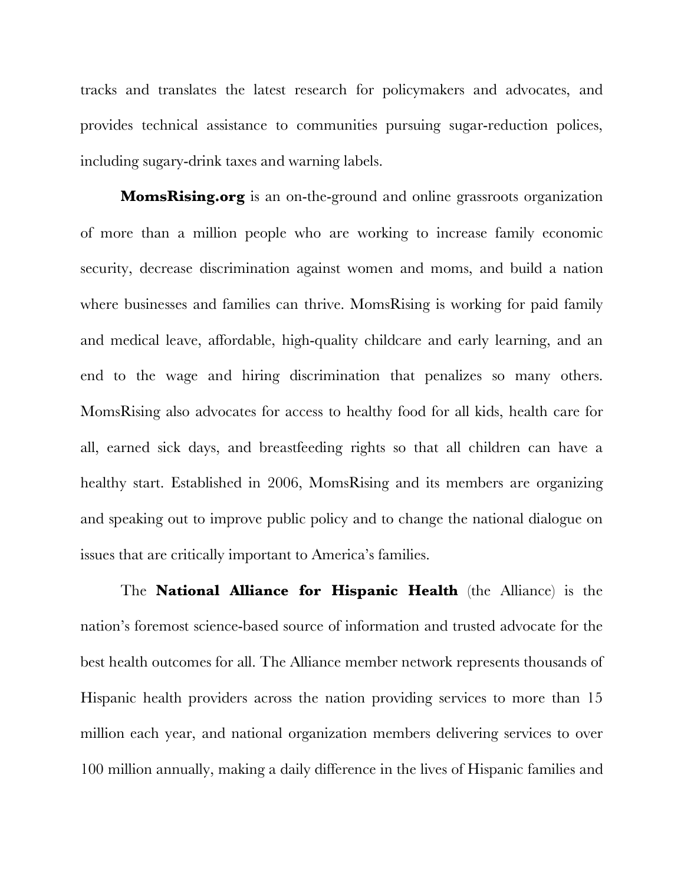tracks and translates the latest research for policymakers and advocates, and provides technical assistance to communities pursuing sugar-reduction polices, including sugary-drink taxes and warning labels.

**MomsRising.org** is an on-the-ground and online grassroots organization of more than a million people who are working to increase family economic security, decrease discrimination against women and moms, and build a nation where businesses and families can thrive. MomsRising is working for paid family and medical leave, affordable, high-quality childcare and early learning, and an end to the wage and hiring discrimination that penalizes so many others. MomsRising also advocates for access to healthy food for all kids, health care for all, earned sick days, and breastfeeding rights so that all children can have a healthy start. Established in 2006, MomsRising and its members are organizing and speaking out to improve public policy and to change the national dialogue on issues that are critically important to America's families.

The **National Alliance for Hispanic Health** (the Alliance) is the nation's foremost science-based source of information and trusted advocate for the best health outcomes for all. The Alliance member network represents thousands of Hispanic health providers across the nation providing services to more than 15 million each year, and national organization members delivering services to over 100 million annually, making a daily difference in the lives of Hispanic families and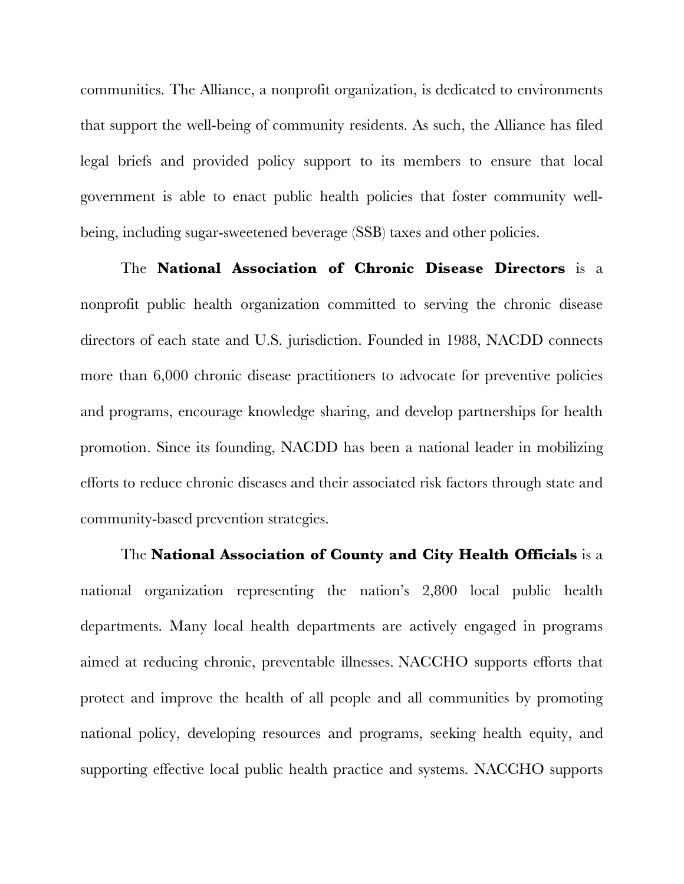communities. The Alliance, a nonprofit organization, is dedicated to environments that support the well-being of community residents. As such, the Alliance has filed legal briefs and provided policy support to its members to ensure that local government is able to enact public health policies that foster community wellbeing, including sugar-sweetened beverage (SSB) taxes and other policies.

The **National Association of Chronic Disease Directors** is a nonprofit public health organization committed to serving the chronic disease directors of each state and U.S. jurisdiction. Founded in 1988, NACDD connects more than 6,000 chronic disease practitioners to advocate for preventive policies and programs, encourage knowledge sharing, and develop partnerships for health promotion. Since its founding, NACDD has been a national leader in mobilizing efforts to reduce chronic diseases and their associated risk factors through state and community-based prevention strategies.

The **National Association of County and City Health Officials** is a national organization representing the nation's 2,800 local public health departments. Many local health departments are actively engaged in programs aimed at reducing chronic, preventable illnesses. NACCHO supports efforts that protect and improve the health of all people and all communities by promoting national policy, developing resources and programs, seeking health equity, and supporting effective local public health practice and systems. NACCHO supports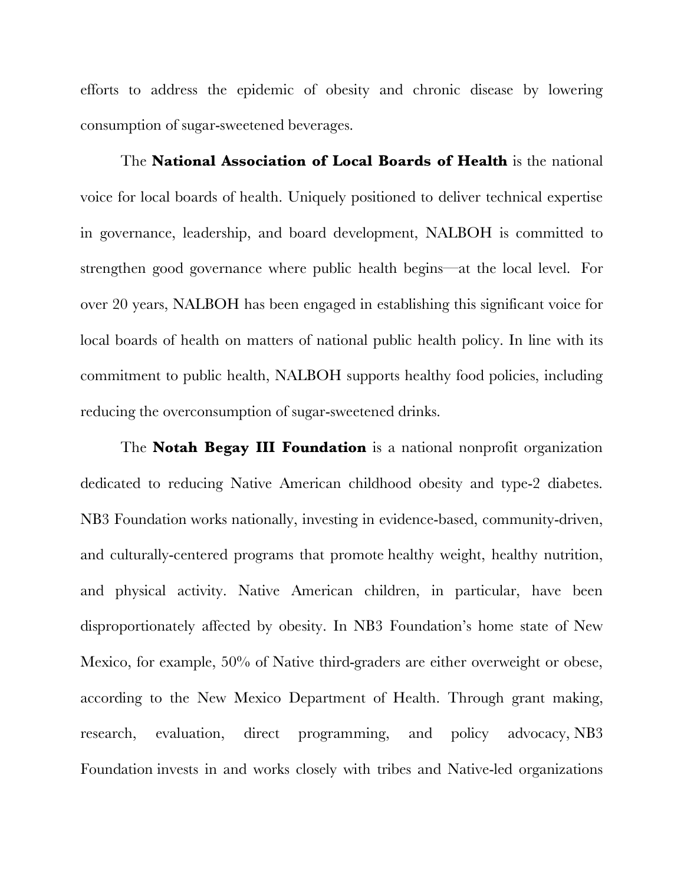efforts to address the epidemic of obesity and chronic disease by lowering consumption of sugar-sweetened beverages.

The **National Association of Local Boards of Health** is the national voice for local boards of health. Uniquely positioned to deliver technical expertise in governance, leadership, and board development, NALBOH is committed to strengthen good governance where public health begins—at the local level. For over 20 years, NALBOH has been engaged in establishing this significant voice for local boards of health on matters of national public health policy. In line with its commitment to public health, NALBOH supports healthy food policies, including reducing the overconsumption of sugar-sweetened drinks.

The **Notah Begay III Foundation** is a national nonprofit organization dedicated to reducing Native American childhood obesity and type-2 diabetes. NB3 Foundation works nationally, investing in evidence-based, community-driven, and culturally-centered programs that promote healthy weight, healthy nutrition, and physical activity. Native American children, in particular, have been disproportionately affected by obesity. In NB3 Foundation's home state of New Mexico, for example, 50% of Native third-graders are either overweight or obese, according to the New Mexico Department of Health. Through grant making, research, evaluation, direct programming, and policy advocacy, NB3 Foundation invests in and works closely with tribes and Native-led organizations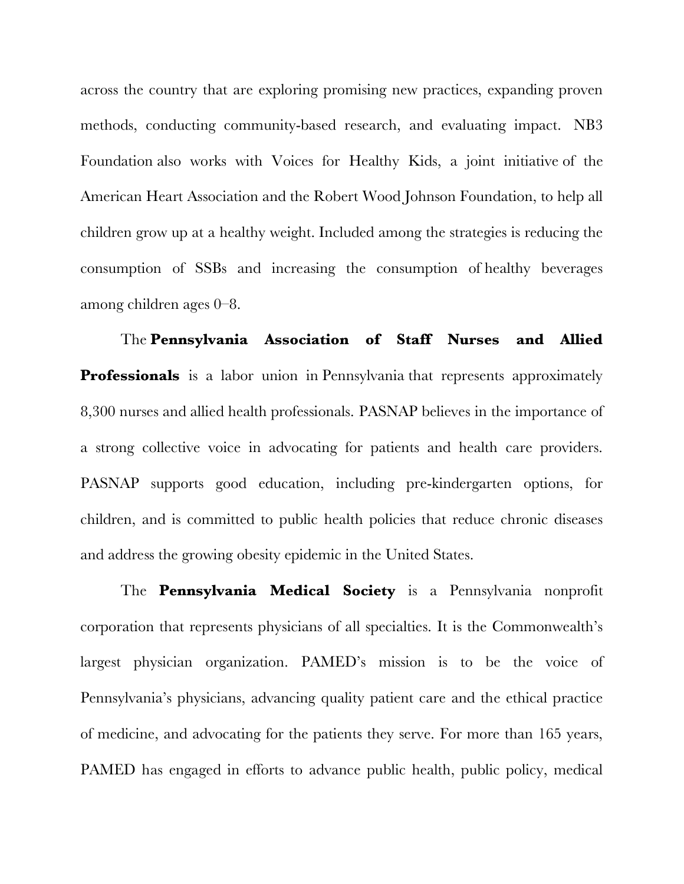across the country that are exploring promising new practices, expanding proven methods, conducting community-based research, and evaluating impact. NB3 Foundation also works with Voices for Healthy Kids, a joint initiative of the American Heart Association and the Robert Wood Johnson Foundation, to help all children grow up at a healthy weight. Included among the strategies is reducing the consumption of SSBs and increasing the consumption of healthy beverages among children ages 0–8.

The **Pennsylvania Association of Staff Nurses and Allied Professionals** is a labor union in Pennsylvania that represents approximately 8,300 nurses and allied health professionals. PASNAP believes in the importance of a strong collective voice in advocating for patients and health care providers. PASNAP supports good education, including pre-kindergarten options, for children, and is committed to public health policies that reduce chronic diseases and address the growing obesity epidemic in the United States.

The **Pennsylvania Medical Society** is a Pennsylvania nonprofit corporation that represents physicians of all specialties. It is the Commonwealth's largest physician organization. PAMED's mission is to be the voice of Pennsylvania's physicians, advancing quality patient care and the ethical practice of medicine, and advocating for the patients they serve. For more than 165 years, PAMED has engaged in efforts to advance public health, public policy, medical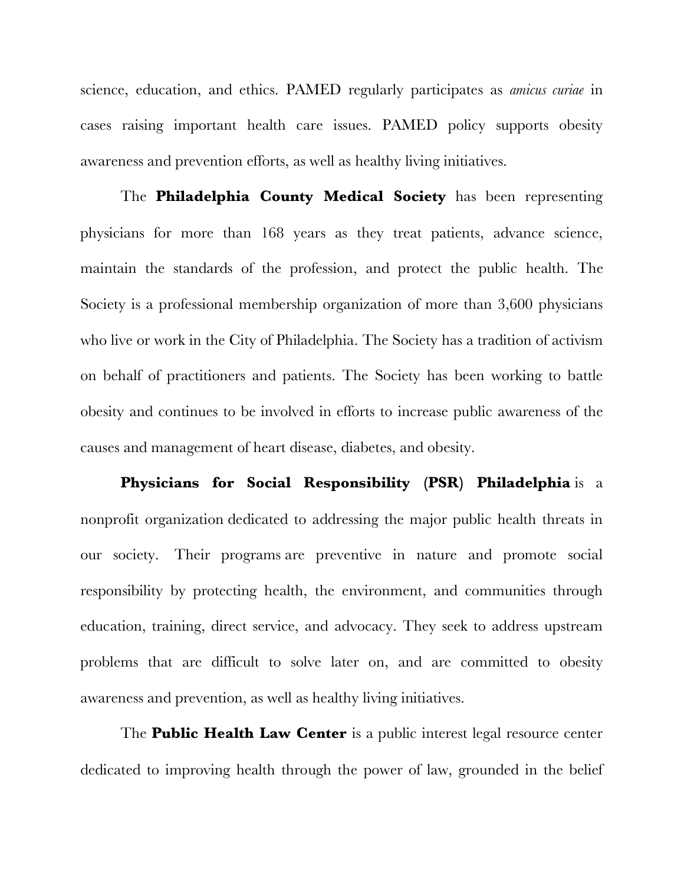science, education, and ethics. PAMED regularly participates as *amicus curiae* in cases raising important health care issues. PAMED policy supports obesity awareness and prevention efforts, as well as healthy living initiatives.

The **Philadelphia County Medical Society** has been representing physicians for more than 168 years as they treat patients, advance science, maintain the standards of the profession, and protect the public health. The Society is a professional membership organization of more than 3,600 physicians who live or work in the City of Philadelphia. The Society has a tradition of activism on behalf of practitioners and patients. The Society has been working to battle obesity and continues to be involved in efforts to increase public awareness of the causes and management of heart disease, diabetes, and obesity.

**Physicians for Social Responsibility (PSR) Philadelphia** is a nonprofit organization dedicated to addressing the major public health threats in our society. Their programs are preventive in nature and promote social responsibility by protecting health, the environment, and communities through education, training, direct service, and advocacy. They seek to address upstream problems that are difficult to solve later on, and are committed to obesity awareness and prevention, as well as healthy living initiatives.

The **Public Health Law Center** is a public interest legal resource center dedicated to improving health through the power of law, grounded in the belief